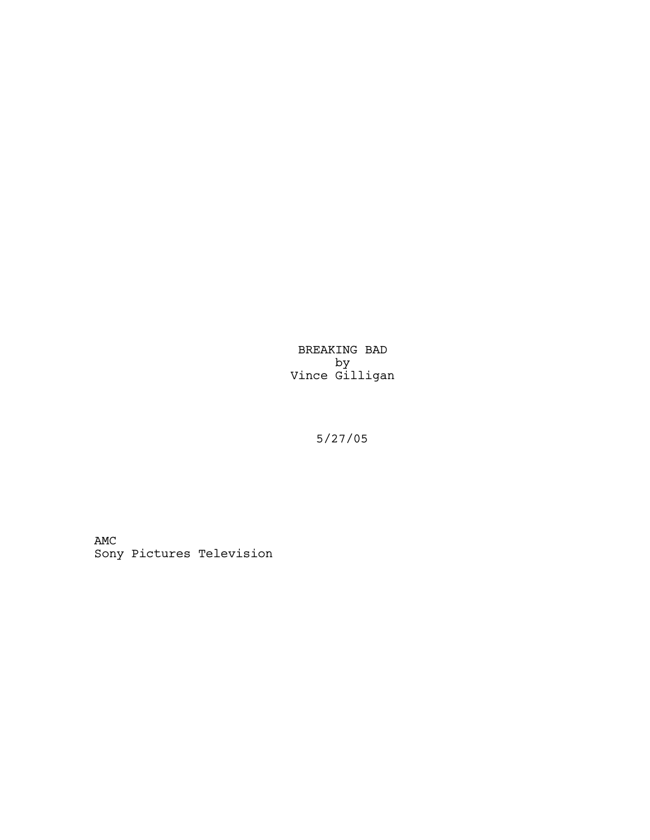BREAKING BAD by Vince Gilligan

5/27/05

AMC Sony Pictures Television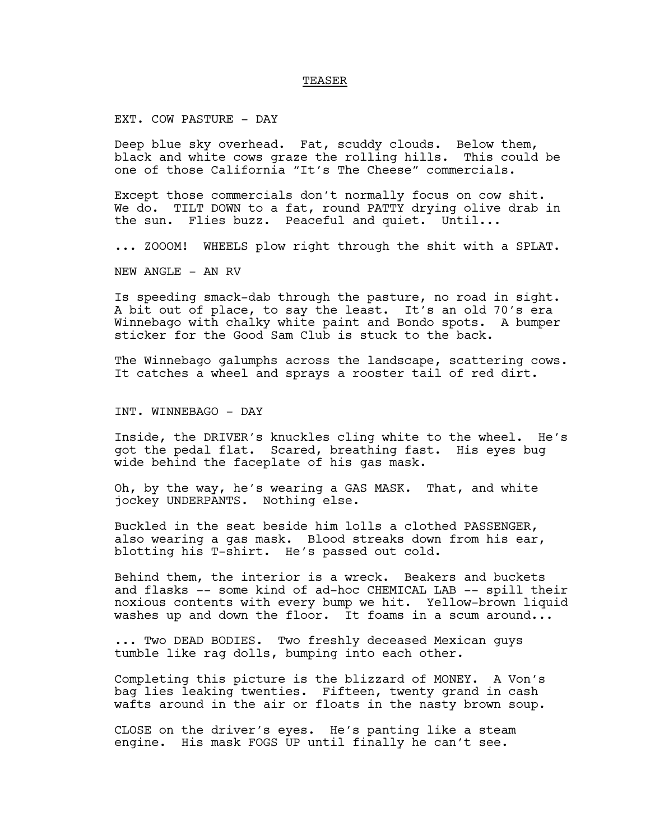#### TEASER

EXT. COW PASTURE - DAY

Deep blue sky overhead. Fat, scuddy clouds. Below them, black and white cows graze the rolling hills. This could be one of those California "It's The Cheese" commercials.

Except those commercials don't normally focus on cow shit. We do. TILT DOWN to a fat, round PATTY drying olive drab in the sun. Flies buzz. Peaceful and quiet. Until...

... ZOOOM! WHEELS plow right through the shit with a SPLAT.

NEW ANGLE - AN RV

Is speeding smack-dab through the pasture, no road in sight. A bit out of place, to say the least. It's an old 70's era Winnebago with chalky white paint and Bondo spots. A bumper sticker for the Good Sam Club is stuck to the back.

The Winnebago galumphs across the landscape, scattering cows. It catches a wheel and sprays a rooster tail of red dirt.

INT. WINNEBAGO - DAY

Inside, the DRIVER's knuckles cling white to the wheel. He's got the pedal flat. Scared, breathing fast. His eyes bug wide behind the faceplate of his gas mask.

Oh, by the way, he's wearing a GAS MASK. That, and white jockey UNDERPANTS. Nothing else.

Buckled in the seat beside him lolls a clothed PASSENGER, also wearing a gas mask. Blood streaks down from his ear, blotting his T-shirt. He's passed out cold.

Behind them, the interior is a wreck. Beakers and buckets and flasks -- some kind of ad-hoc CHEMICAL LAB -- spill their noxious contents with every bump we hit. Yellow-brown liquid washes up and down the floor. It foams in a scum around...

... Two DEAD BODIES. Two freshly deceased Mexican guys tumble like rag dolls, bumping into each other.

Completing this picture is the blizzard of MONEY. A Von's bag lies leaking twenties. Fifteen, twenty grand in cash wafts around in the air or floats in the nasty brown soup.

CLOSE on the driver's eyes. He's panting like a steam engine. His mask FOGS UP until finally he can't see.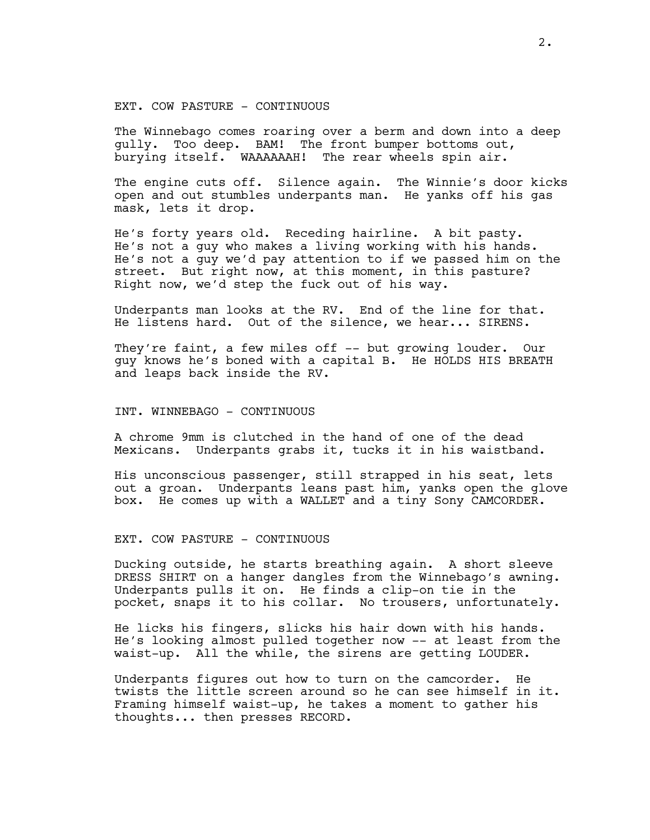## EXT. COW PASTURE - CONTINUOUS

The Winnebago comes roaring over a berm and down into a deep gully. Too deep. BAM! The front bumper bottoms out, burying itself. WAAAAAAH! The rear wheels spin air.

The engine cuts off. Silence again. The Winnie's door kicks open and out stumbles underpants man. He yanks off his gas mask, lets it drop.

He's forty years old. Receding hairline. A bit pasty. He's not a guy who makes a living working with his hands. He's not a guy we'd pay attention to if we passed him on the street. But right now, at this moment, in this pasture? Right now, we'd step the fuck out of his way.

Underpants man looks at the RV. End of the line for that. He listens hard. Out of the silence, we hear... SIRENS.

They're faint, a few miles off -- but growing louder. Our guy knows he's boned with a capital B. He HOLDS HIS BREATH and leaps back inside the RV.

#### INT. WINNEBAGO - CONTINUOUS

A chrome 9mm is clutched in the hand of one of the dead Mexicans. Underpants grabs it, tucks it in his waistband.

His unconscious passenger, still strapped in his seat, lets out a groan. Underpants leans past him, yanks open the glove box. He comes up with a WALLET and a tiny Sony CAMCORDER.

EXT. COW PASTURE - CONTINUOUS

Ducking outside, he starts breathing again. A short sleeve DRESS SHIRT on a hanger dangles from the Winnebago's awning. Underpants pulls it on. He finds a clip-on tie in the pocket, snaps it to his collar. No trousers, unfortunately.

He licks his fingers, slicks his hair down with his hands. He's looking almost pulled together now -- at least from the waist-up. All the while, the sirens are getting LOUDER.

Underpants figures out how to turn on the camcorder. He twists the little screen around so he can see himself in it. Framing himself waist-up, he takes a moment to gather his thoughts... then presses RECORD.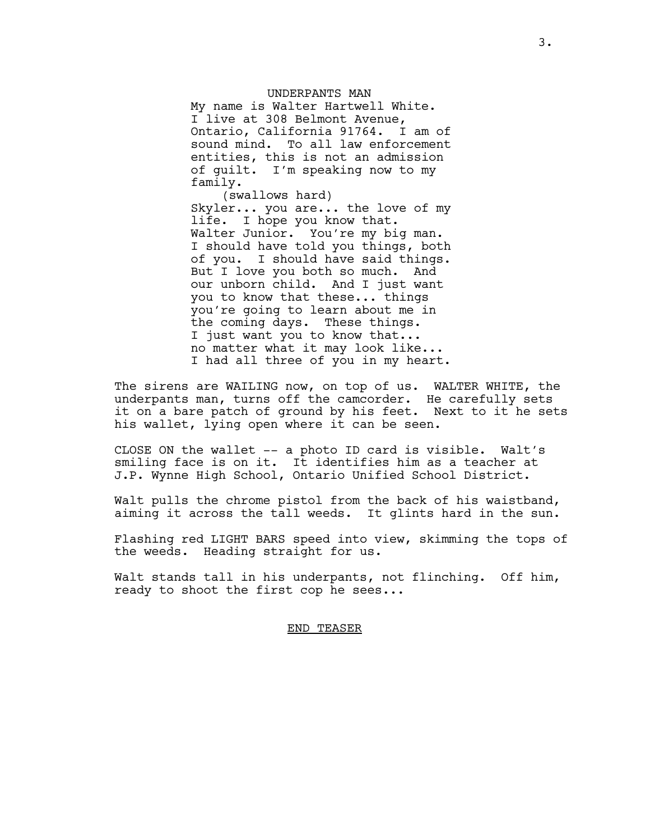UNDERPANTS MAN My name is Walter Hartwell White. I live at 308 Belmont Avenue, Ontario, California 91764. I am of sound mind. To all law enforcement entities, this is not an admission of guilt. I'm speaking now to my family.

(swallows hard) Skyler... you are... the love of my life. I hope you know that. Walter Junior. You're my big man. I should have told you things, both of you. I should have said things. But I love you both so much. And our unborn child. And I just want you to know that these... things you're going to learn about me in the coming days. These things. I just want you to know that... no matter what it may look like... I had all three of you in my heart.

The sirens are WAILING now, on top of us. WALTER WHITE, the underpants man, turns off the camcorder. He carefully sets it on a bare patch of ground by his feet. Next to it he sets his wallet, lying open where it can be seen.

CLOSE ON the wallet -- a photo ID card is visible. Walt's smiling face is on it. It identifies him as a teacher at J.P. Wynne High School, Ontario Unified School District.

Walt pulls the chrome pistol from the back of his waistband, aiming it across the tall weeds. It glints hard in the sun.

Flashing red LIGHT BARS speed into view, skimming the tops of the weeds. Heading straight for us.

Walt stands tall in his underpants, not flinching. Off him, ready to shoot the first cop he sees...

#### END TEASER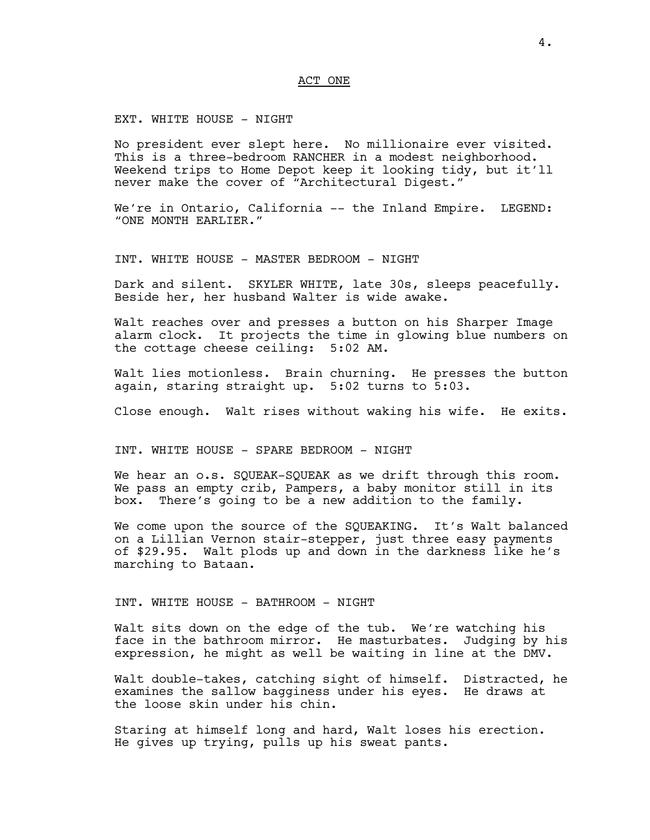## ACT ONE

EXT. WHITE HOUSE - NIGHT

No president ever slept here. No millionaire ever visited. This is a three-bedroom RANCHER in a modest neighborhood. Weekend trips to Home Depot keep it looking tidy, but it'll never make the cover of "Architectural Digest."

We're in Ontario, California -- the Inland Empire. LEGEND: "ONE MONTH EARLIER."

INT. WHITE HOUSE - MASTER BEDROOM - NIGHT

Dark and silent. SKYLER WHITE, late 30s, sleeps peacefully. Beside her, her husband Walter is wide awake.

Walt reaches over and presses a button on his Sharper Image alarm clock. It projects the time in glowing blue numbers on the cottage cheese ceiling: 5:02 AM.

Walt lies motionless. Brain churning. He presses the button again, staring straight up. 5:02 turns to 5:03.

Close enough. Walt rises without waking his wife. He exits.

INT. WHITE HOUSE - SPARE BEDROOM - NIGHT

We hear an o.s. SQUEAK-SQUEAK as we drift through this room. We pass an empty crib, Pampers, a baby monitor still in its box. There's going to be a new addition to the family.

We come upon the source of the SQUEAKING. It's Walt balanced on a Lillian Vernon stair-stepper, just three easy payments of \$29.95. Walt plods up and down in the darkness like he's marching to Bataan.

#### INT. WHITE HOUSE - BATHROOM - NIGHT

Walt sits down on the edge of the tub. We're watching his face in the bathroom mirror. He masturbates. Judging by his expression, he might as well be waiting in line at the DMV.

Walt double-takes, catching sight of himself. Distracted, he examines the sallow bagginess under his eyes. He draws at the loose skin under his chin.

Staring at himself long and hard, Walt loses his erection. He gives up trying, pulls up his sweat pants.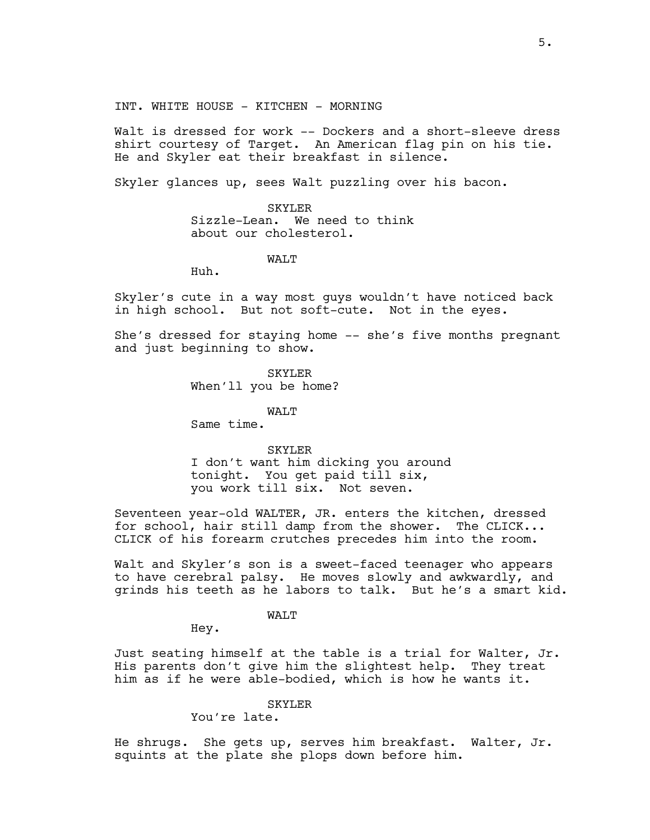INT. WHITE HOUSE - KITCHEN - MORNING

Walt is dressed for work -- Dockers and a short-sleeve dress shirt courtesy of Target. An American flag pin on his tie. He and Skyler eat their breakfast in silence.

Skyler glances up, sees Walt puzzling over his bacon.

#### SKYLER

Sizzle-Lean. We need to think about our cholesterol.

### WAT<sub>I</sub>T

Huh.

Skyler's cute in a way most guys wouldn't have noticed back in high school. But not soft-cute. Not in the eyes.

She's dressed for staying home -- she's five months pregnant and just beginning to show.

> SKYLER When'll you be home?

> > WAT.T

Same time.

#### SKYLER

I don't want him dicking you around tonight. You get paid till six, you work till six. Not seven.

Seventeen year-old WALTER, JR. enters the kitchen, dressed for school, hair still damp from the shower. The CLICK... CLICK of his forearm crutches precedes him into the room.

Walt and Skyler's son is a sweet-faced teenager who appears to have cerebral palsy. He moves slowly and awkwardly, and grinds his teeth as he labors to talk. But he's a smart kid.

WALT

Hey.

Just seating himself at the table is a trial for Walter, Jr. His parents don't give him the slightest help. They treat him as if he were able-bodied, which is how he wants it.

## SKYLER

You're late.

He shrugs. She gets up, serves him breakfast. Walter, Jr. squints at the plate she plops down before him.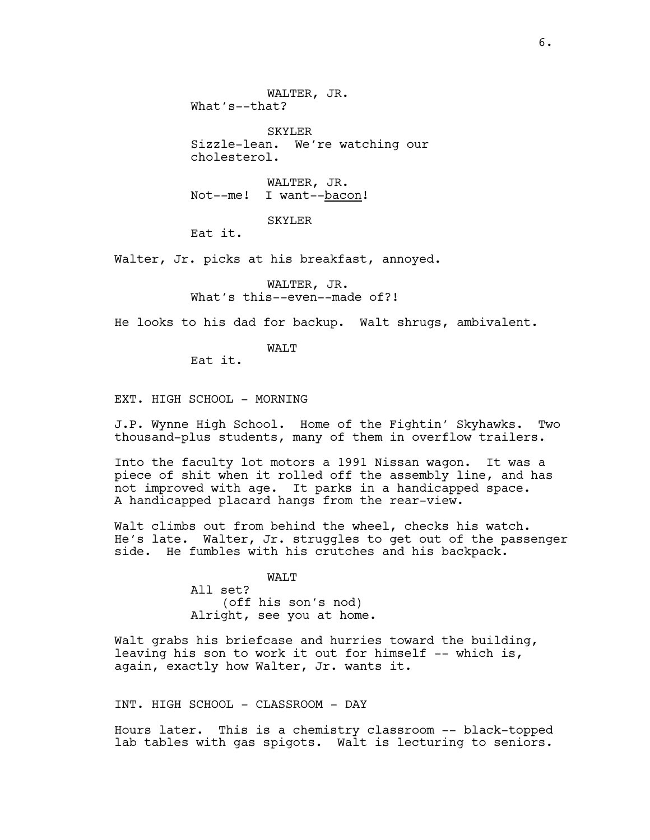WALTER, JR. What's--that?

SKYLER Sizzle-lean. We're watching our cholesterol.

WALTER, JR. Not--me! I want--bacon!

SKYLER

Eat it.

Walter, Jr. picks at his breakfast, annoyed.

WALTER, JR. What's this--even--made of?!

He looks to his dad for backup. Walt shrugs, ambivalent.

WAT.T

Eat it.

EXT. HIGH SCHOOL - MORNING

J.P. Wynne High School. Home of the Fightin' Skyhawks. Two thousand-plus students, many of them in overflow trailers.

Into the faculty lot motors a 1991 Nissan wagon. It was a piece of shit when it rolled off the assembly line, and has not improved with age. It parks in a handicapped space. A handicapped placard hangs from the rear-view.

Walt climbs out from behind the wheel, checks his watch. He's late. Walter, Jr. struggles to get out of the passenger side. He fumbles with his crutches and his backpack.

> WALT All set? (off his son's nod) Alright, see you at home.

Walt grabs his briefcase and hurries toward the building, leaving his son to work it out for himself -- which is, again, exactly how Walter, Jr. wants it.

INT. HIGH SCHOOL - CLASSROOM - DAY

Hours later. This is a chemistry classroom -- black-topped lab tables with gas spigots. Walt is lecturing to seniors.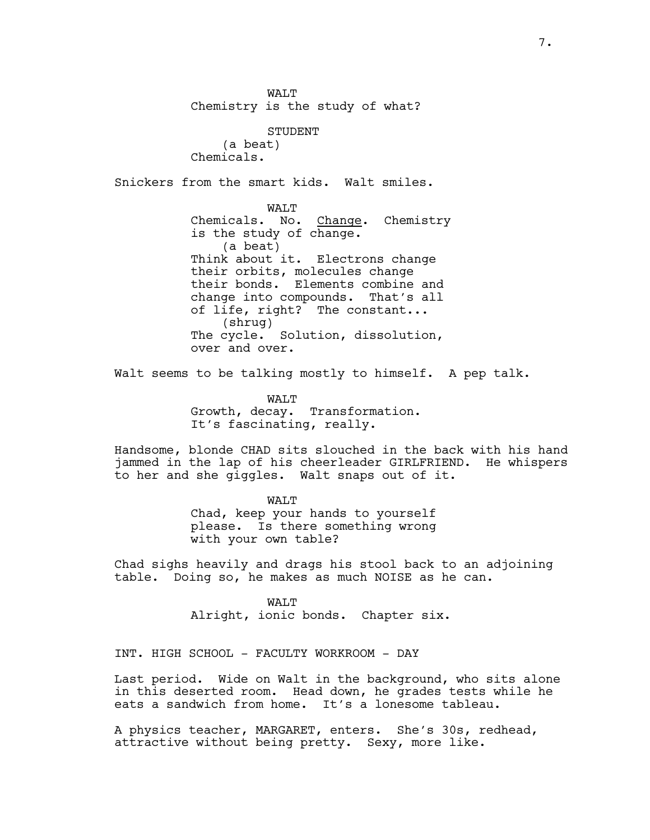WAT.T Chemistry is the study of what?

STUDENT (a beat) Chemicals.

Snickers from the smart kids. Walt smiles.

WAT.T Chemicals. No. Change. Chemistry is the study of change. (a beat) Think about it. Electrons change their orbits, molecules change their bonds. Elements combine and change into compounds. That's all of life, right? The constant... (shrug) The cycle. Solution, dissolution, over and over.

Walt seems to be talking mostly to himself. A pep talk.

WALT Growth, decay. Transformation. It's fascinating, really.

Handsome, blonde CHAD sits slouched in the back with his hand jammed in the lap of his cheerleader GIRLFRIEND. He whispers to her and she giggles. Walt snaps out of it.

> WALT Chad, keep your hands to yourself please. Is there something wrong with your own table?

Chad sighs heavily and drags his stool back to an adjoining table. Doing so, he makes as much NOISE as he can.

> WALT Alright, ionic bonds. Chapter six.

INT. HIGH SCHOOL - FACULTY WORKROOM - DAY

Last period. Wide on Walt in the background, who sits alone in this deserted room. Head down, he grades tests while he eats a sandwich from home. It's a lonesome tableau.

A physics teacher, MARGARET, enters. She's 30s, redhead, attractive without being pretty. Sexy, more like.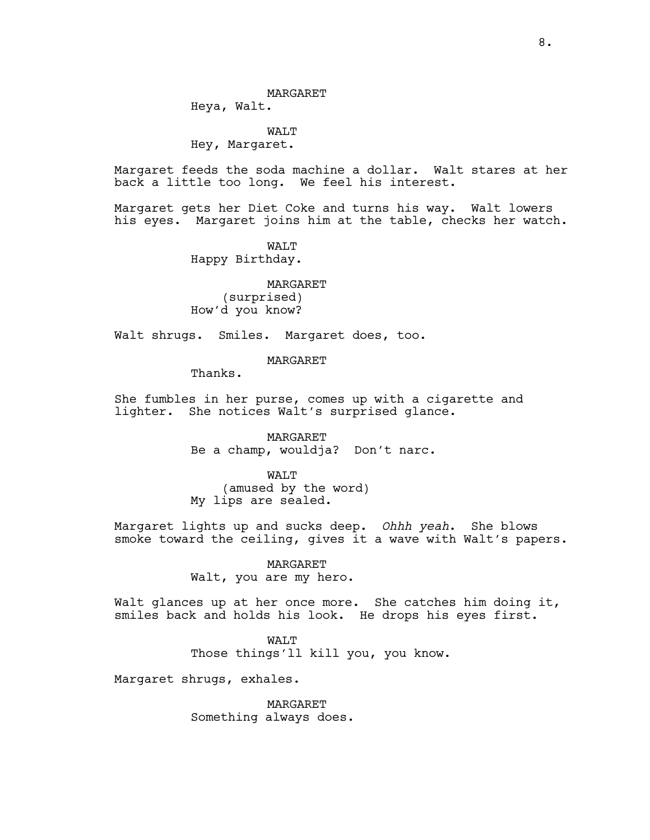Heya, Walt.

WALT Hey, Margaret.

Margaret feeds the soda machine a dollar. Walt stares at her back a little too long. We feel his interest.

Margaret gets her Diet Coke and turns his way. Walt lowers his eyes. Margaret joins him at the table, checks her watch.

> WALT Happy Birthday.

MARGARET (surprised) How'd you know?

Walt shrugs. Smiles. Margaret does, too.

MARGARET

Thanks.

She fumbles in her purse, comes up with a cigarette and lighter. She notices Walt's surprised glance.

> MARGARET Be a champ, wouldja? Don't narc.

**WAT.T** (amused by the word) My lips are sealed.

Margaret lights up and sucks deep. *Ohhh yeah*. She blows smoke toward the ceiling, gives it a wave with Walt's papers.

> MARGARET Walt, you are my hero.

Walt glances up at her once more. She catches him doing it, smiles back and holds his look. He drops his eyes first.

> WALT Those things'll kill you, you know.

Margaret shrugs, exhales.

MARGARET Something always does.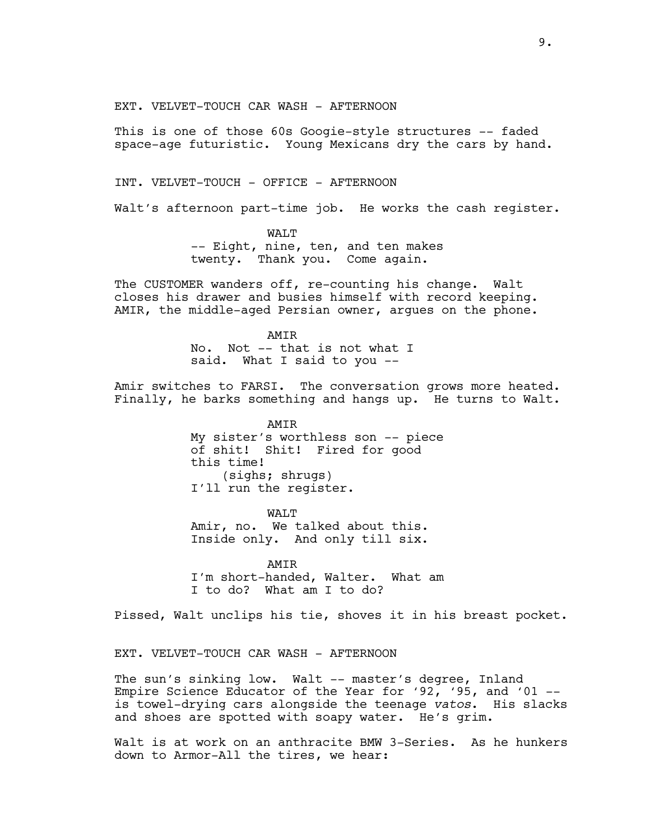EXT. VELVET-TOUCH CAR WASH - AFTERNOON

This is one of those 60s Googie-style structures -- faded space-age futuristic. Young Mexicans dry the cars by hand.

INT. VELVET-TOUCH - OFFICE - AFTERNOON

Walt's afternoon part-time job. He works the cash register.

WAT.T -- Eight, nine, ten, and ten makes twenty. Thank you. Come again.

The CUSTOMER wanders off, re-counting his change. Walt closes his drawer and busies himself with record keeping. AMIR, the middle-aged Persian owner, argues on the phone.

> AMIR No. Not -- that is not what I said. What I said to you --

Amir switches to FARSI. The conversation grows more heated. Finally, he barks something and hangs up. He turns to Walt.

> AMIR My sister's worthless son -- piece of shit! Shit! Fired for good this time! (sighs; shrugs) I'll run the register.

WALT Amir, no. We talked about this. Inside only. And only till six.

AMIR I'm short-handed, Walter. What am I to do? What am I to do?

Pissed, Walt unclips his tie, shoves it in his breast pocket.

EXT. VELVET-TOUCH CAR WASH - AFTERNOON

The sun's sinking low. Walt -- master's degree, Inland Empire Science Educator of the Year for '92, '95, and '01 - is towel-drying cars alongside the teenage *vatos*. His slacks and shoes are spotted with soapy water. He's grim.

Walt is at work on an anthracite BMW 3-Series. As he hunkers down to Armor-All the tires, we hear: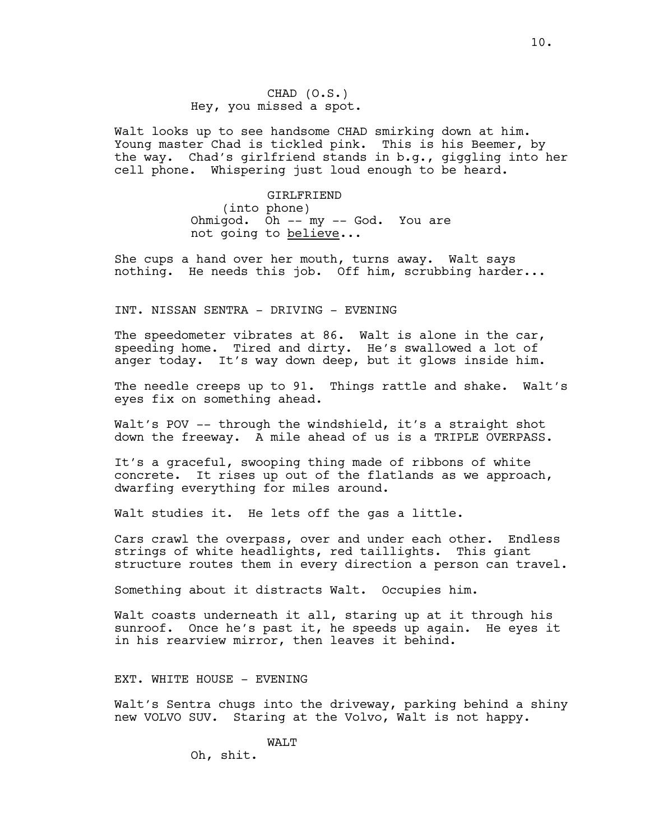Walt looks up to see handsome CHAD smirking down at him. Young master Chad is tickled pink. This is his Beemer, by the way. Chad's girlfriend stands in b.g., giggling into her cell phone. Whispering just loud enough to be heard.

> GIRLFRIEND (into phone) Ohmigod. Oh -- my -- God. You are not going to believe...

She cups a hand over her mouth, turns away. Walt says nothing. He needs this job. Off him, scrubbing harder...

INT. NISSAN SENTRA - DRIVING - EVENING

The speedometer vibrates at 86. Walt is alone in the car, speeding home. Tired and dirty. He's swallowed a lot of anger today. It's way down deep, but it glows inside him.

The needle creeps up to 91. Things rattle and shake. Walt's eyes fix on something ahead.

Walt's POV -- through the windshield, it's a straight shot down the freeway. A mile ahead of us is a TRIPLE OVERPASS.

It's a graceful, swooping thing made of ribbons of white concrete. It rises up out of the flatlands as we approach, dwarfing everything for miles around.

Walt studies it. He lets off the gas a little.

Cars crawl the overpass, over and under each other. Endless strings of white headlights, red taillights. This giant structure routes them in every direction a person can travel.

Something about it distracts Walt. Occupies him.

Walt coasts underneath it all, staring up at it through his sunroof. Once he's past it, he speeds up again. He eyes it in his rearview mirror, then leaves it behind.

EXT. WHITE HOUSE - EVENING

Walt's Sentra chugs into the driveway, parking behind a shiny new VOLVO SUV. Staring at the Volvo, Walt is not happy.

WALT

Oh, shit.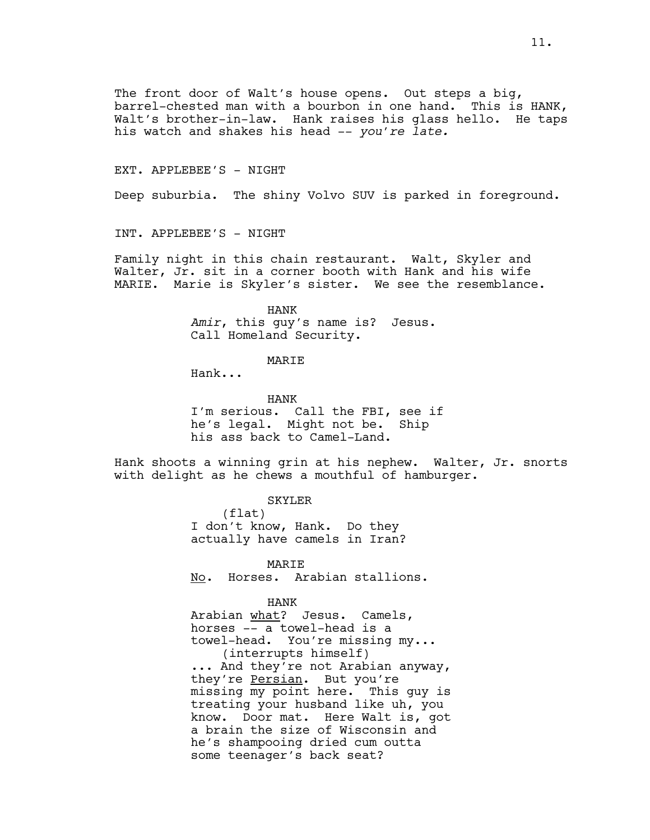The front door of Walt's house opens. Out steps a big, barrel-chested man with a bourbon in one hand. This is HANK, Walt's brother-in-law. Hank raises his glass hello. He taps his watch and shakes his head -- *you're late.*

## EXT. APPLEBEE'S - NIGHT

Deep suburbia. The shiny Volvo SUV is parked in foreground.

INT. APPLEBEE'S - NIGHT

Family night in this chain restaurant. Walt, Skyler and Walter, Jr. sit in a corner booth with Hank and his wife MARIE. Marie is Skyler's sister. We see the resemblance.

> HANK *Amir*, this guy's name is? Jesus. Call Homeland Security.

## MARIE

Hank...

HANK I'm serious. Call the FBI, see if he's legal. Might not be. Ship his ass back to Camel-Land.

Hank shoots a winning grin at his nephew. Walter, Jr. snorts with delight as he chews a mouthful of hamburger.

> SKYLER (flat) I don't know, Hank. Do they actually have camels in Iran?

MARIE No. Horses. Arabian stallions.

#### HANK

Arabian what? Jesus. Camels, horses -- a towel-head is a towel-head. You're missing my... (interrupts himself) ... And they're not Arabian anyway, they're Persian. But you're missing my point here. This guy is treating your husband like uh, you know. Door mat. Here Walt is, got a brain the size of Wisconsin and he's shampooing dried cum outta some teenager's back seat?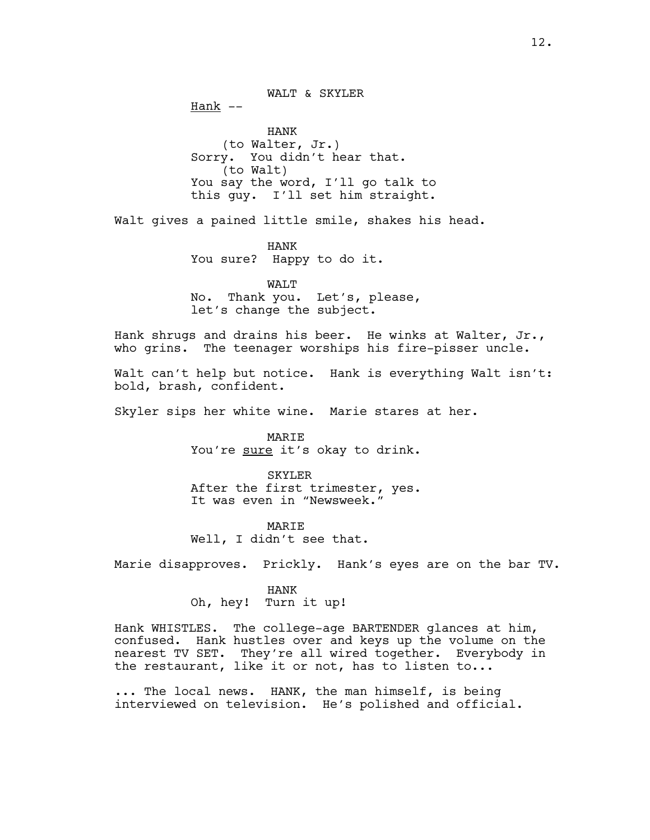WALT & SKYLER  $Hank$  --HANK (to Walter, Jr.) Sorry. You didn't hear that. (to Walt) You say the word, I'll go talk to this guy. I'll set him straight.

Walt gives a pained little smile, shakes his head.

HANK You sure? Happy to do it.

WALT No. Thank you. Let's, please, let's change the subject.

Hank shrugs and drains his beer. He winks at Walter, Jr., who grins. The teenager worships his fire-pisser uncle.

Walt can't help but notice. Hank is everything Walt isn't: bold, brash, confident.

Skyler sips her white wine. Marie stares at her.

MARIE You're sure it's okay to drink.

SKYLER After the first trimester, yes. It was even in "Newsweek."

MARIE Well, I didn't see that.

Marie disapproves. Prickly. Hank's eyes are on the bar TV.

HANK Oh, hey! Turn it up!

Hank WHISTLES. The college-age BARTENDER glances at him, confused. Hank hustles over and keys up the volume on the nearest TV SET. They're all wired together. Everybody in the restaurant, like it or not, has to listen to...

... The local news. HANK, the man himself, is being interviewed on television. He's polished and official.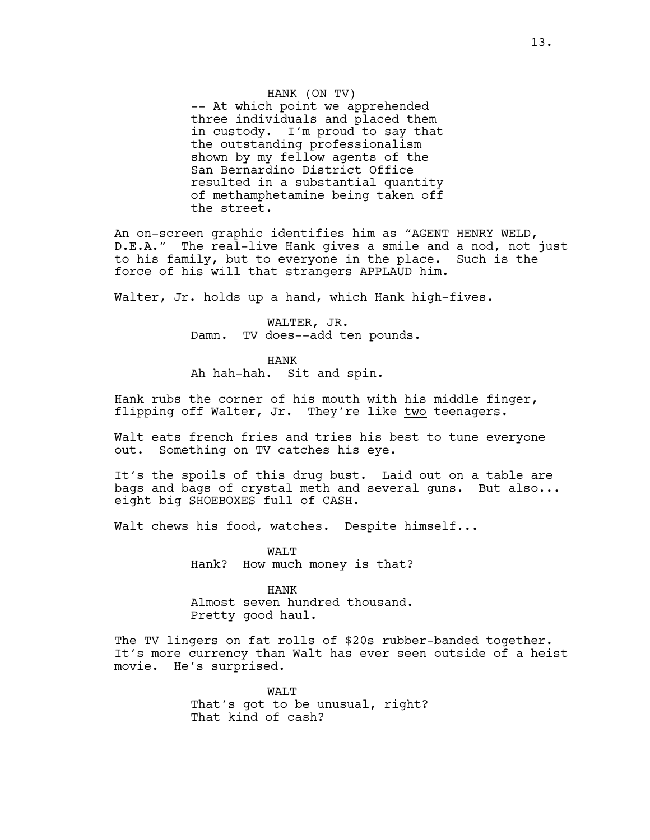## HANK (ON TV)

-- At which point we apprehended three individuals and placed them in custody. I'm proud to say that the outstanding professionalism shown by my fellow agents of the San Bernardino District Office resulted in a substantial quantity of methamphetamine being taken off the street.

An on-screen graphic identifies him as "AGENT HENRY WELD, D.E.A." The real-live Hank gives a smile and a nod, not just to his family, but to everyone in the place. Such is the force of his will that strangers APPLAUD him.

Walter, Jr. holds up a hand, which Hank high-fives.

WALTER, JR. Damn. TV does--add ten pounds.

HANK Ah hah-hah. Sit and spin.

Hank rubs the corner of his mouth with his middle finger, flipping off Walter, Jr. They're like two teenagers.

Walt eats french fries and tries his best to tune everyone out. Something on TV catches his eye.

It's the spoils of this drug bust. Laid out on a table are bags and bags of crystal meth and several guns. But also... eight big SHOEBOXES full of CASH.

Walt chews his food, watches. Despite himself...

WAT.T Hank? How much money is that?

HANK Almost seven hundred thousand. Pretty good haul.

The TV lingers on fat rolls of \$20s rubber-banded together. It's more currency than Walt has ever seen outside of a heist movie. He's surprised.

> WALT That's got to be unusual, right? That kind of cash?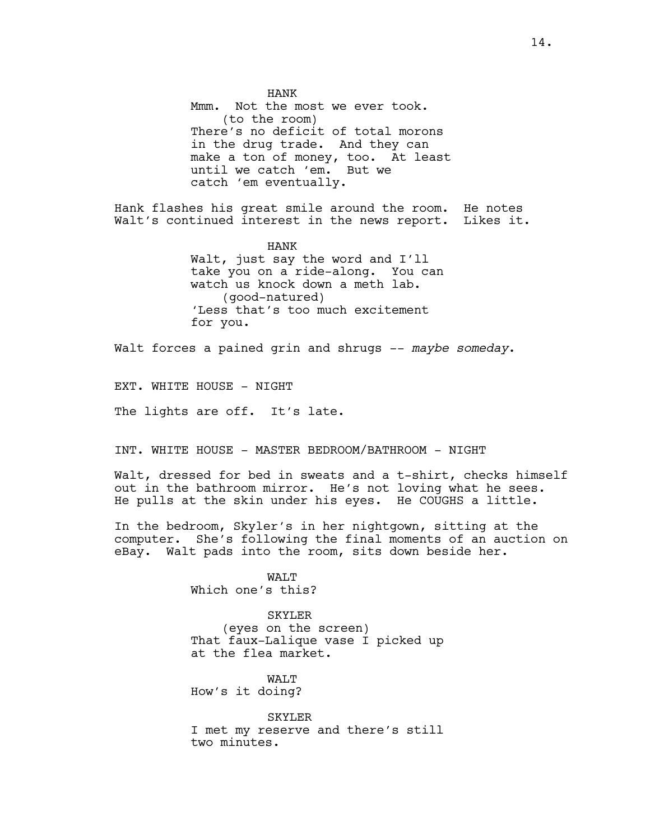HANK Mmm. Not the most we ever took. (to the room) There's no deficit of total morons in the drug trade. And they can make a ton of money, too. At least until we catch 'em. But we catch 'em eventually.

Hank flashes his great smile around the room. He notes Walt's continued interest in the news report. Likes it.

> HANK Walt, just say the word and I'll take you on a ride-along. You can watch us knock down a meth lab. (good-natured) 'Less that's too much excitement for you.

Walt forces a pained grin and shrugs -- *maybe someday*.

EXT. WHITE HOUSE - NIGHT

The lights are off. It's late.

INT. WHITE HOUSE - MASTER BEDROOM/BATHROOM - NIGHT

Walt, dressed for bed in sweats and a t-shirt, checks himself out in the bathroom mirror. He's not loving what he sees. He pulls at the skin under his eyes. He COUGHS a little.

In the bedroom, Skyler's in her nightgown, sitting at the computer. She's following the final moments of an auction on eBay. Walt pads into the room, sits down beside her.

> WAT.T Which one's this?

SKYLER (eyes on the screen) That faux-Lalique vase I picked up at the flea market.

**WAT.T** How's it doing?

SKYLER I met my reserve and there's still two minutes.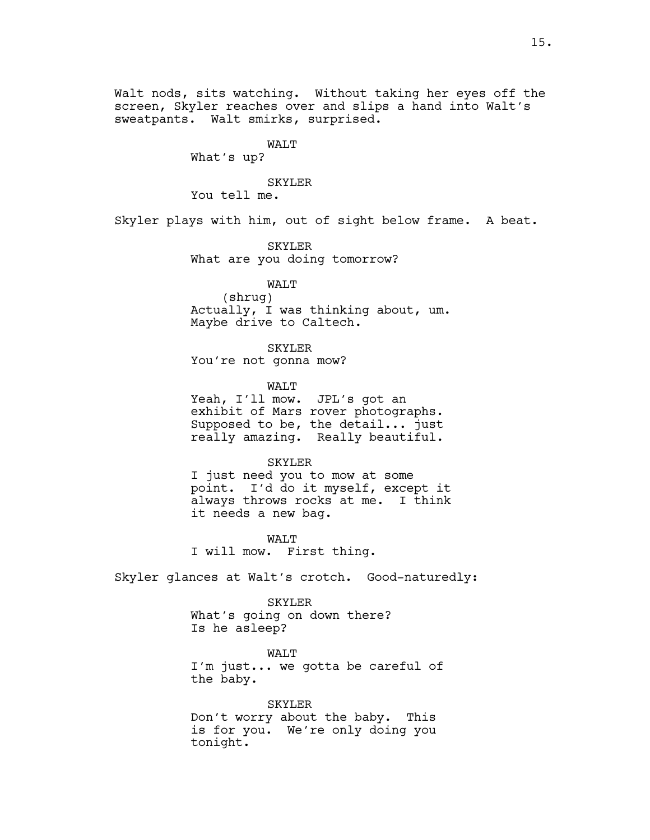Walt nods, sits watching. Without taking her eyes off the screen, Skyler reaches over and slips a hand into Walt's sweatpants. Walt smirks, surprised.

## WALT

What's up?

## SKYLER

You tell me.

Skyler plays with him, out of sight below frame. A beat.

SKYLER What are you doing tomorrow?

## WALT

(shrug) Actually, I was thinking about, um. Maybe drive to Caltech.

SKYLER

You're not gonna mow?

WALT

Yeah, I'll mow. JPL's got an exhibit of Mars rover photographs. Supposed to be, the detail... just really amazing. Really beautiful.

## SKYLER

I just need you to mow at some point. I'd do it myself, except it always throws rocks at me. I think it needs a new bag.

WALT I will mow. First thing.

Skyler glances at Walt's crotch. Good-naturedly:

#### SKYLER

What's going on down there? Is he asleep?

WALT I'm just... we gotta be careful of the baby.

SKYLER Don't worry about the baby. This is for you. We're only doing you tonight.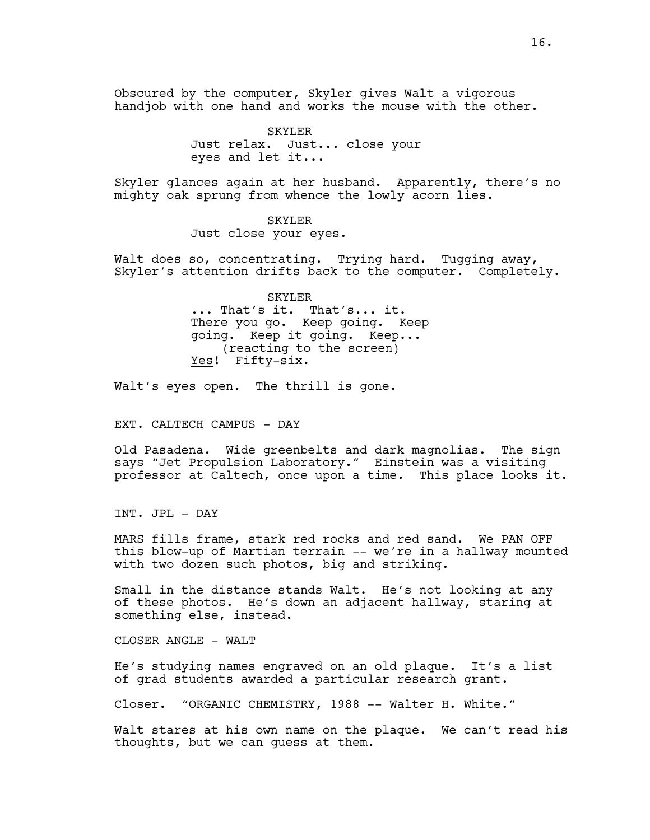Obscured by the computer, Skyler gives Walt a vigorous handjob with one hand and works the mouse with the other.

> SKYLER Just relax. Just... close your eyes and let it...

Skyler glances again at her husband. Apparently, there's no mighty oak sprung from whence the lowly acorn lies.

> SKYLER Just close your eyes.

Walt does so, concentrating. Trying hard. Tugging away, Skyler's attention drifts back to the computer. Completely.

> SKYLER ... That's it. That's... it. There you go. Keep going. Keep going. Keep it going. Keep... (reacting to the screen) Yes! Fifty-six.

Walt's eyes open. The thrill is gone.

EXT. CALTECH CAMPUS - DAY

Old Pasadena. Wide greenbelts and dark magnolias. The sign says "Jet Propulsion Laboratory." Einstein was a visiting professor at Caltech, once upon a time. This place looks it.

INT. JPL - DAY

MARS fills frame, stark red rocks and red sand. We PAN OFF this blow-up of Martian terrain -- we're in a hallway mounted with two dozen such photos, big and striking.

Small in the distance stands Walt. He's not looking at any of these photos. He's down an adjacent hallway, staring at something else, instead.

CLOSER ANGLE - WALT

He's studying names engraved on an old plaque. It's a list of grad students awarded a particular research grant.

Closer. "ORGANIC CHEMISTRY, 1988 -- Walter H. White."

Walt stares at his own name on the plaque. We can't read his thoughts, but we can guess at them.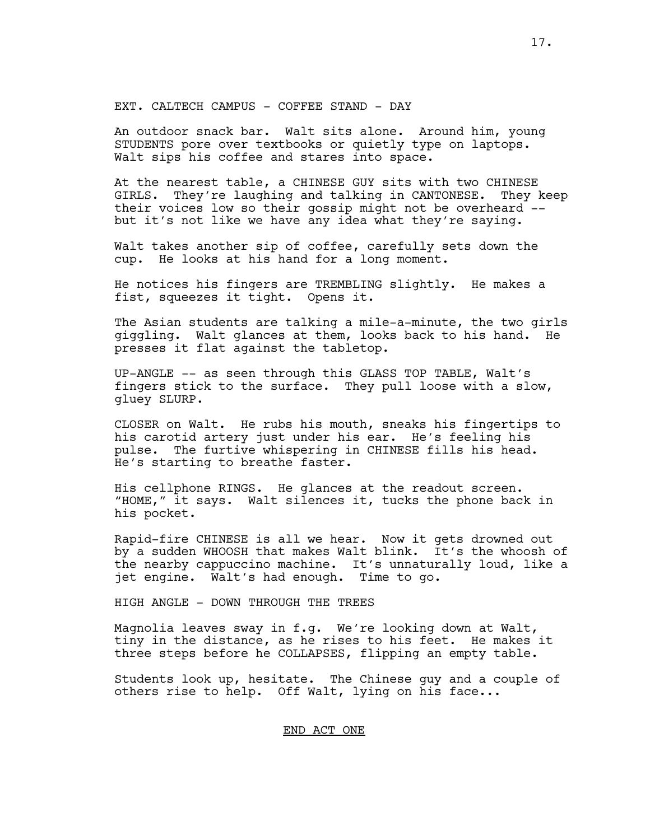EXT. CALTECH CAMPUS - COFFEE STAND - DAY

An outdoor snack bar. Walt sits alone. Around him, young STUDENTS pore over textbooks or quietly type on laptops. Walt sips his coffee and stares into space.

At the nearest table, a CHINESE GUY sits with two CHINESE GIRLS. They're laughing and talking in CANTONESE. They keep their voices low so their gossip might not be overheard - but it's not like we have any idea what they're saying.

Walt takes another sip of coffee, carefully sets down the cup. He looks at his hand for a long moment.

He notices his fingers are TREMBLING slightly. He makes a fist, squeezes it tight. Opens it.

The Asian students are talking a mile-a-minute, the two girls giggling. Walt glances at them, looks back to his hand. He presses it flat against the tabletop.

UP-ANGLE -- as seen through this GLASS TOP TABLE, Walt's fingers stick to the surface. They pull loose with a slow, gluey SLURP.

CLOSER on Walt. He rubs his mouth, sneaks his fingertips to his carotid artery just under his ear. He's feeling his pulse. The furtive whispering in CHINESE fills his head. He's starting to breathe faster.

His cellphone RINGS. He glances at the readout screen. "HOME," it says. Walt silences it, tucks the phone back in his pocket.

Rapid-fire CHINESE is all we hear. Now it gets drowned out by a sudden WHOOSH that makes Walt blink. It's the whoosh of the nearby cappuccino machine. It's unnaturally loud, like a jet engine. Walt's had enough. Time to go.

HIGH ANGLE - DOWN THROUGH THE TREES

Magnolia leaves sway in f.g. We're looking down at Walt, tiny in the distance, as he rises to his feet. He makes it three steps before he COLLAPSES, flipping an empty table.

Students look up, hesitate. The Chinese guy and a couple of others rise to help. Off Walt, lying on his face...

## END ACT ONE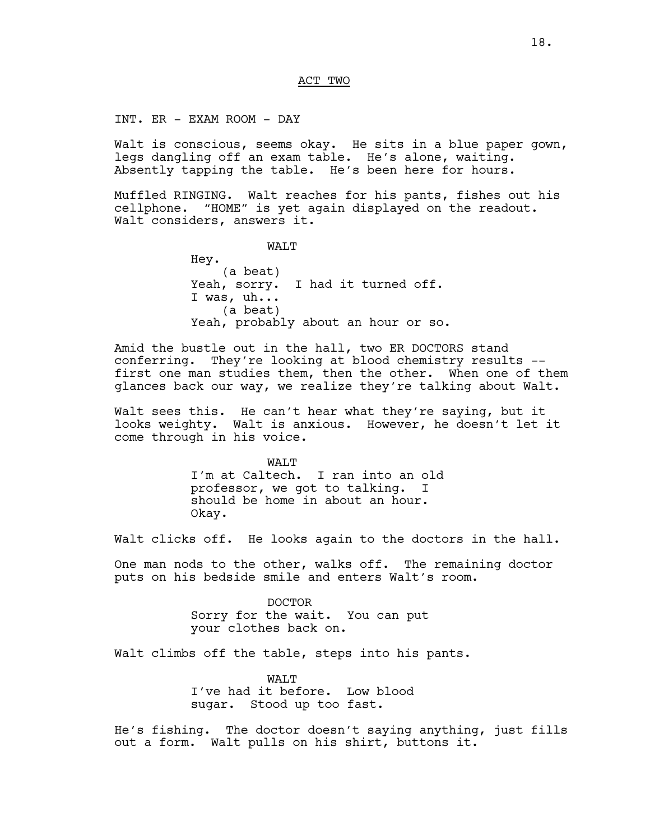#### ACT TWO

INT. ER - EXAM ROOM - DAY

Walt is conscious, seems okay. He sits in a blue paper gown, legs dangling off an exam table. He's alone, waiting. Absently tapping the table. He's been here for hours.

Muffled RINGING. Walt reaches for his pants, fishes out his cellphone. "HOME" is yet again displayed on the readout. Walt considers, answers it.

WALT

Hey. (a beat) Yeah, sorry. I had it turned off. I was, uh... (a beat) Yeah, probably about an hour or so.

Amid the bustle out in the hall, two ER DOCTORS stand conferring. They're looking at blood chemistry results - first one man studies them, then the other. When one of them glances back our way, we realize they're talking about Walt.

Walt sees this. He can't hear what they're saying, but it looks weighty. Walt is anxious. However, he doesn't let it come through in his voice.

> WALT I'm at Caltech. I ran into an old professor, we got to talking. I should be home in about an hour. Okay.

Walt clicks off. He looks again to the doctors in the hall.

One man nods to the other, walks off. The remaining doctor puts on his bedside smile and enters Walt's room.

> DOCTOR Sorry for the wait. You can put your clothes back on.

Walt climbs off the table, steps into his pants.

WAT.T I've had it before. Low blood sugar. Stood up too fast.

He's fishing. The doctor doesn't saying anything, just fills out a form. Walt pulls on his shirt, buttons it.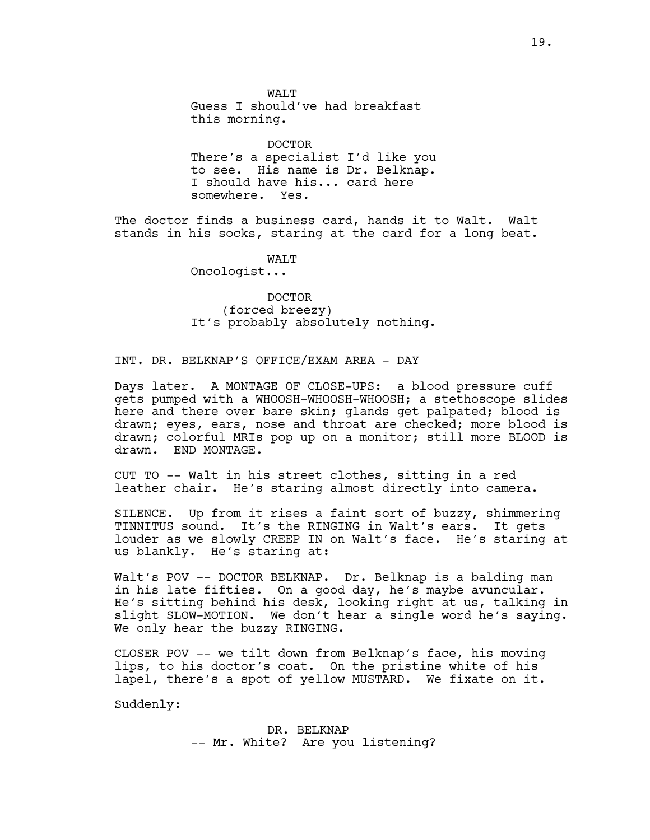WAT.T Guess I should've had breakfast this morning.

DOCTOR There's a specialist I'd like you to see. His name is Dr. Belknap. I should have his... card here somewhere. Yes.

The doctor finds a business card, hands it to Walt. Walt stands in his socks, staring at the card for a long beat.

**WAT.T** 

Oncologist...

DOCTOR (forced breezy) It's probably absolutely nothing.

INT. DR. BELKNAP'S OFFICE/EXAM AREA - DAY

Days later. A MONTAGE OF CLOSE-UPS: a blood pressure cuff gets pumped with a WHOOSH-WHOOSH-WHOOSH; a stethoscope slides here and there over bare skin; glands get palpated; blood is drawn; eyes, ears, nose and throat are checked; more blood is drawn; colorful MRIs pop up on a monitor; still more BLOOD is drawn. END MONTAGE.

CUT TO -- Walt in his street clothes, sitting in a red leather chair. He's staring almost directly into camera.

SILENCE. Up from it rises a faint sort of buzzy, shimmering TINNITUS sound. It's the RINGING in Walt's ears. It gets louder as we slowly CREEP IN on Walt's face. He's staring at us blankly. He's staring at:

Walt's POV -- DOCTOR BELKNAP. Dr. Belknap is a balding man in his late fifties. On a good day, he's maybe avuncular. He's sitting behind his desk, looking right at us, talking in slight SLOW-MOTION. We don't hear a single word he's saying. We only hear the buzzy RINGING.

CLOSER POV -- we tilt down from Belknap's face, his moving lips, to his doctor's coat. On the pristine white of his lapel, there's a spot of yellow MUSTARD. We fixate on it.

Suddenly:

DR. BELKNAP -- Mr. White? Are you listening?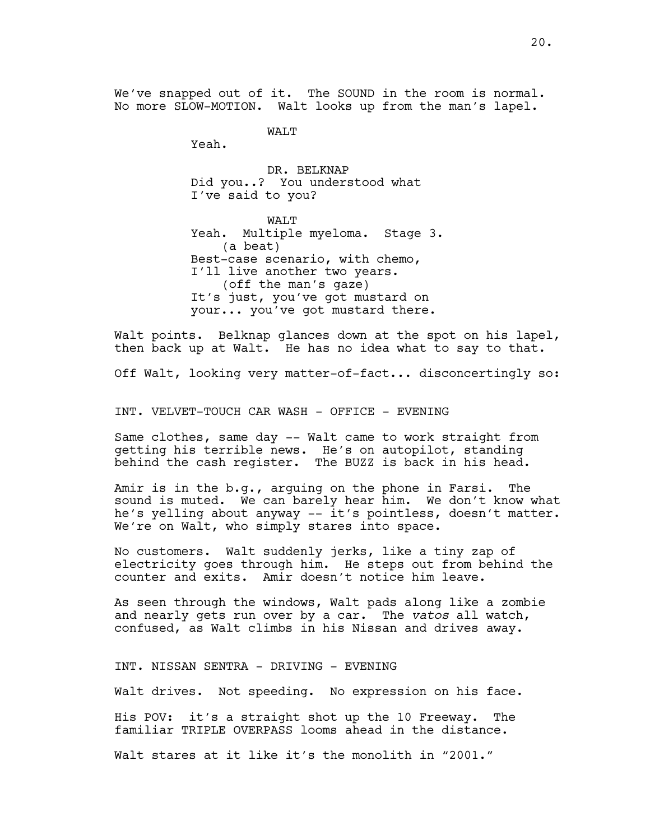We've snapped out of it. The SOUND in the room is normal. No more SLOW-MOTION. Walt looks up from the man's lapel.

WAT.T

Yeah.

DR. BELKNAP Did you..? You understood what I've said to you?

WALT Yeah. Multiple myeloma. Stage 3. (a beat) Best-case scenario, with chemo, I'll live another two years. (off the man's gaze) It's just, you've got mustard on your... you've got mustard there.

Walt points. Belknap glances down at the spot on his lapel, then back up at Walt. He has no idea what to say to that.

Off Walt, looking very matter-of-fact... disconcertingly so:

INT. VELVET-TOUCH CAR WASH - OFFICE - EVENING

Same clothes, same day -- Walt came to work straight from getting his terrible news. He's on autopilot, standing behind the cash register. The BUZZ is back in his head.

Amir is in the b.g., arguing on the phone in Farsi. The sound is muted. We can barely hear him. We don't know what he's yelling about anyway -- it's pointless, doesn't matter. We're on Walt, who simply stares into space.

No customers. Walt suddenly jerks, like a tiny zap of electricity goes through him. He steps out from behind the counter and exits. Amir doesn't notice him leave.

As seen through the windows, Walt pads along like a zombie and nearly gets run over by a car. The *vatos* all watch, confused, as Walt climbs in his Nissan and drives away.

INT. NISSAN SENTRA - DRIVING - EVENING

Walt drives. Not speeding. No expression on his face.

His POV: it's a straight shot up the 10 Freeway. The familiar TRIPLE OVERPASS looms ahead in the distance.

Walt stares at it like it's the monolith in "2001."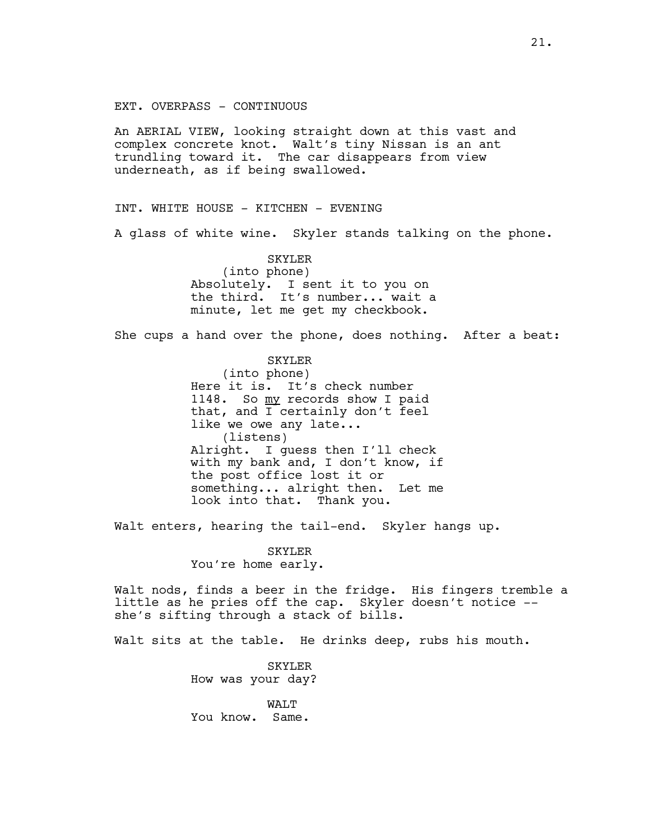EXT. OVERPASS - CONTINUOUS

An AERIAL VIEW, looking straight down at this vast and complex concrete knot. Walt's tiny Nissan is an ant trundling toward it. The car disappears from view underneath, as if being swallowed.

INT. WHITE HOUSE - KITCHEN - EVENING

A glass of white wine. Skyler stands talking on the phone.

SKYLER (into phone) Absolutely. I sent it to you on the third. It's number... wait a minute, let me get my checkbook.

She cups a hand over the phone, does nothing. After a beat:

SKYLER (into phone) Here it is. It's check number 1148. So my records show I paid that, and I certainly don't feel like we owe any late... (listens) Alright. I guess then I'll check with my bank and, I don't know, if the post office lost it or something... alright then. Let me look into that. Thank you.

Walt enters, hearing the tail-end. Skyler hangs up.

SKYLER You're home early.

Walt nods, finds a beer in the fridge. His fingers tremble a little as he pries off the cap. Skyler doesn't notice - she's sifting through a stack of bills.

Walt sits at the table. He drinks deep, rubs his mouth.

SKYLER How was your day?

WALT You know. Same.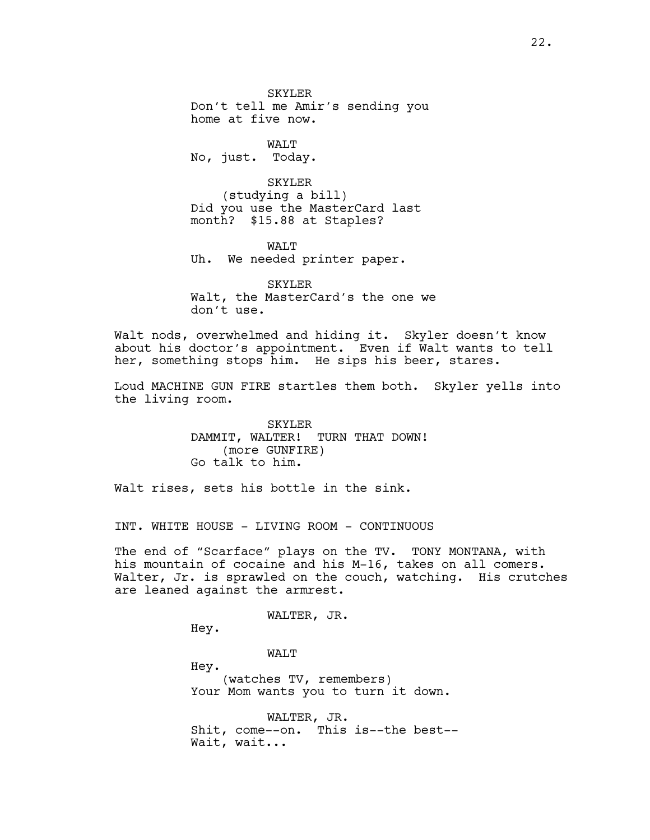SKYLER Don't tell me Amir's sending you home at five now.

WALT No, just. Today.

SKYLER (studying a bill) Did you use the MasterCard last month? \$15.88 at Staples?

WALT Uh. We needed printer paper.

SKYLER Walt, the MasterCard's the one we don't use.

Walt nods, overwhelmed and hiding it. Skyler doesn't know about his doctor's appointment. Even if Walt wants to tell her, something stops him. He sips his beer, stares.

Loud MACHINE GUN FIRE startles them both. Skyler yells into the living room.

> SKYLER DAMMIT, WALTER! TURN THAT DOWN! (more GUNFIRE) Go talk to him.

Walt rises, sets his bottle in the sink.

INT. WHITE HOUSE - LIVING ROOM - CONTINUOUS

The end of "Scarface" plays on the TV. TONY MONTANA, with his mountain of cocaine and his M-16, takes on all comers. Walter, Jr. is sprawled on the couch, watching. His crutches are leaned against the armrest.

WALTER, JR.

Hey.

WALT

Hey. (watches TV, remembers) Your Mom wants you to turn it down.

WALTER, JR. Shit, come--on. This is--the best-- Wait, wait...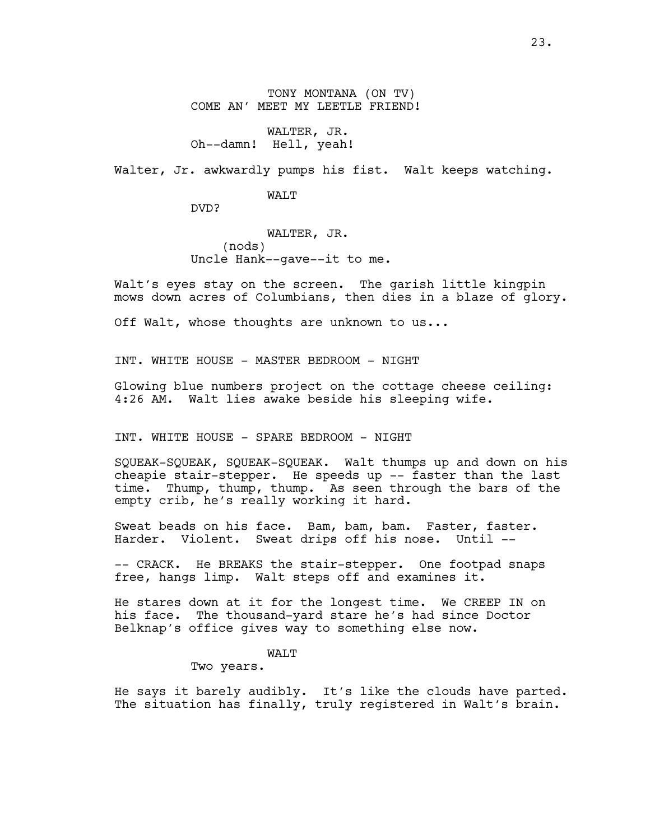TONY MONTANA (ON TV) COME AN' MEET MY LEETLE FRIEND!

WALTER, JR. Oh--damn! Hell, yeah!

Walter, Jr. awkwardly pumps his fist. Walt keeps watching.

WALT

DVD?

WALTER, JR. (nods) Uncle Hank--gave--it to me.

Walt's eyes stay on the screen. The garish little kingpin mows down acres of Columbians, then dies in a blaze of glory.

Off Walt, whose thoughts are unknown to us...

INT. WHITE HOUSE - MASTER BEDROOM - NIGHT

Glowing blue numbers project on the cottage cheese ceiling: 4:26 AM. Walt lies awake beside his sleeping wife.

INT. WHITE HOUSE - SPARE BEDROOM - NIGHT

SQUEAK-SQUEAK, SQUEAK-SQUEAK. Walt thumps up and down on his cheapie stair-stepper. He speeds up -- faster than the last time. Thump, thump, thump. As seen through the bars of the empty crib, he's really working it hard.

Sweat beads on his face. Bam, bam, bam. Faster, faster. Harder. Violent. Sweat drips off his nose. Until --

-- CRACK. He BREAKS the stair-stepper. One footpad snaps free, hangs limp. Walt steps off and examines it.

He stares down at it for the longest time. We CREEP IN on his face. The thousand-yard stare he's had since Doctor Belknap's office gives way to something else now.

WALT

Two years.

He says it barely audibly. It's like the clouds have parted. The situation has finally, truly registered in Walt's brain.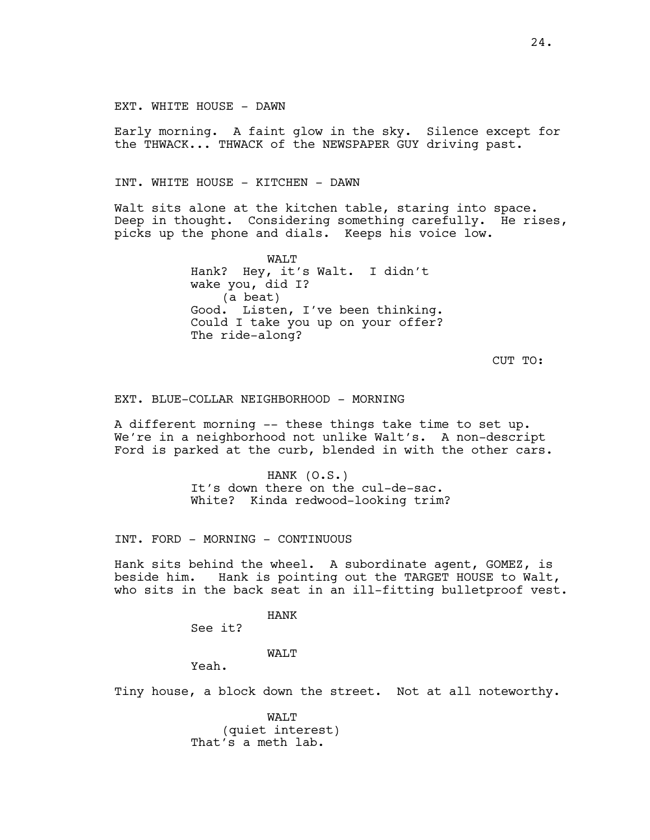EXT. WHITE HOUSE - DAWN

Early morning. A faint glow in the sky. Silence except for the THWACK... THWACK of the NEWSPAPER GUY driving past.

INT. WHITE HOUSE - KITCHEN - DAWN

Walt sits alone at the kitchen table, staring into space. Deep in thought. Considering something carefully. He rises, picks up the phone and dials. Keeps his voice low.

> WALT Hank? Hey, it's Walt. I didn't wake you, did I? (a beat) Good. Listen, I've been thinking. Could I take you up on your offer? The ride-along?

> > CUT TO:

EXT. BLUE-COLLAR NEIGHBORHOOD - MORNING

A different morning -- these things take time to set up. We're in a neighborhood not unlike Walt's. A non-descript Ford is parked at the curb, blended in with the other cars.

> HANK (O.S.) It's down there on the cul-de-sac. White? Kinda redwood-looking trim?

INT. FORD - MORNING - CONTINUOUS

Hank sits behind the wheel. A subordinate agent, GOMEZ, is<br>beside him. Hank is pointing out the TARGET HOUSE to Walt, Hank is pointing out the TARGET HOUSE to Walt, who sits in the back seat in an ill-fitting bulletproof vest.

HANK

See it?

## WALT

Yeah.

Tiny house, a block down the street. Not at all noteworthy.

WALT (quiet interest) That's a meth lab.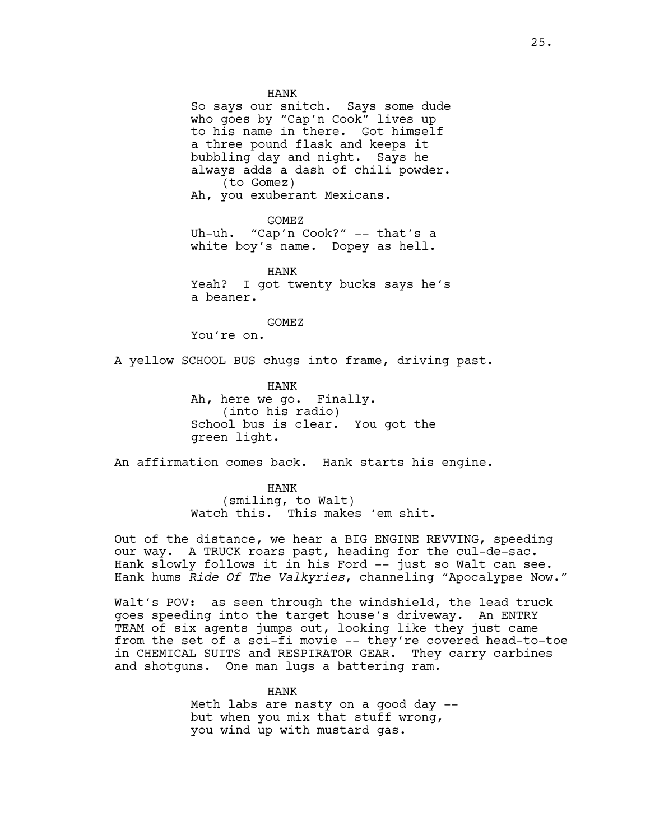HANK So says our snitch. Says some dude who goes by "Cap'n Cook" lives up to his name in there. Got himself a three pound flask and keeps it bubbling day and night. Says he always adds a dash of chili powder. (to Gomez) Ah, you exuberant Mexicans.

GOMEZ Uh-uh. "Cap'n Cook?" -- that's a white boy's name. Dopey as hell.

HANK Yeah? I got twenty bucks says he's a beaner.

GOMEZ

You're on.

A yellow SCHOOL BUS chugs into frame, driving past.

HANK Ah, here we go. Finally. (into his radio) School bus is clear. You got the green light.

An affirmation comes back. Hank starts his engine.

HANK (smiling, to Walt) Watch this. This makes 'em shit.

Out of the distance, we hear a BIG ENGINE REVVING, speeding our way. A TRUCK roars past, heading for the cul-de-sac. Hank slowly follows it in his Ford -- just so Walt can see. Hank hums *Ride Of The Valkyries*, channeling "Apocalypse Now."

Walt's POV: as seen through the windshield, the lead truck goes speeding into the target house's driveway. An ENTRY TEAM of six agents jumps out, looking like they just came from the set of a sci-fi movie -- they're covered head-to-toe in CHEMICAL SUITS and RESPIRATOR GEAR. They carry carbines and shotguns. One man lugs a battering ram.

> HANK Meth labs are nasty on a good day - but when you mix that stuff wrong, you wind up with mustard gas.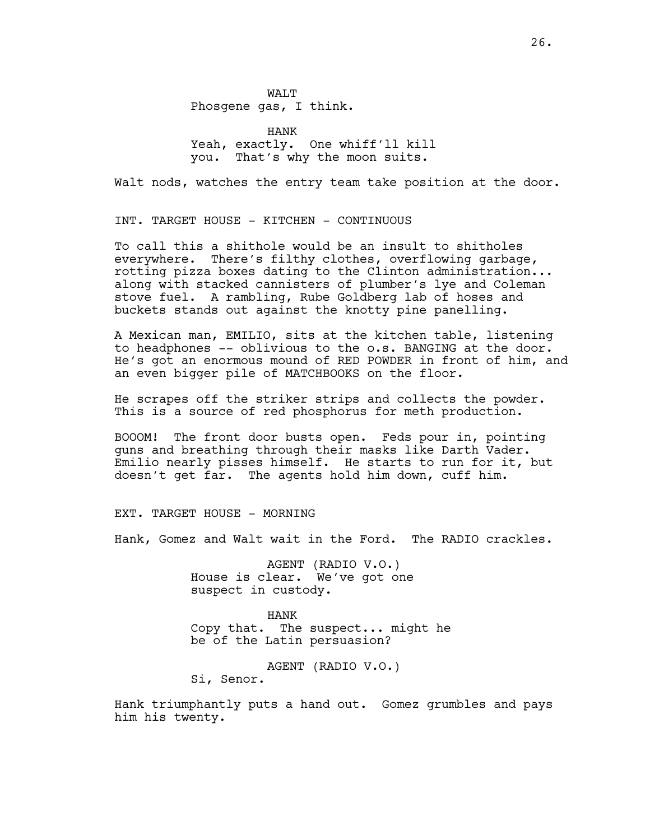WAT.T Phosgene gas, I think.

HANK Yeah, exactly. One whiff'll kill you. That's why the moon suits.

Walt nods, watches the entry team take position at the door.

INT. TARGET HOUSE - KITCHEN - CONTINUOUS

To call this a shithole would be an insult to shitholes everywhere. There's filthy clothes, overflowing garbage, rotting pizza boxes dating to the Clinton administration... along with stacked cannisters of plumber's lye and Coleman stove fuel. A rambling, Rube Goldberg lab of hoses and buckets stands out against the knotty pine panelling.

A Mexican man, EMILIO, sits at the kitchen table, listening to headphones -- oblivious to the o.s. BANGING at the door. He's got an enormous mound of RED POWDER in front of him, and an even bigger pile of MATCHBOOKS on the floor.

He scrapes off the striker strips and collects the powder. This is a source of red phosphorus for meth production.

BOOOM! The front door busts open. Feds pour in, pointing guns and breathing through their masks like Darth Vader. Emilio nearly pisses himself. He starts to run for it, but doesn't get far. The agents hold him down, cuff him.

EXT. TARGET HOUSE - MORNING

Hank, Gomez and Walt wait in the Ford. The RADIO crackles.

AGENT (RADIO V.O.) House is clear. We've got one suspect in custody.

HANK Copy that. The suspect... might he be of the Latin persuasion?

AGENT (RADIO V.O.) Si, Senor.

Hank triumphantly puts a hand out. Gomez grumbles and pays him his twenty.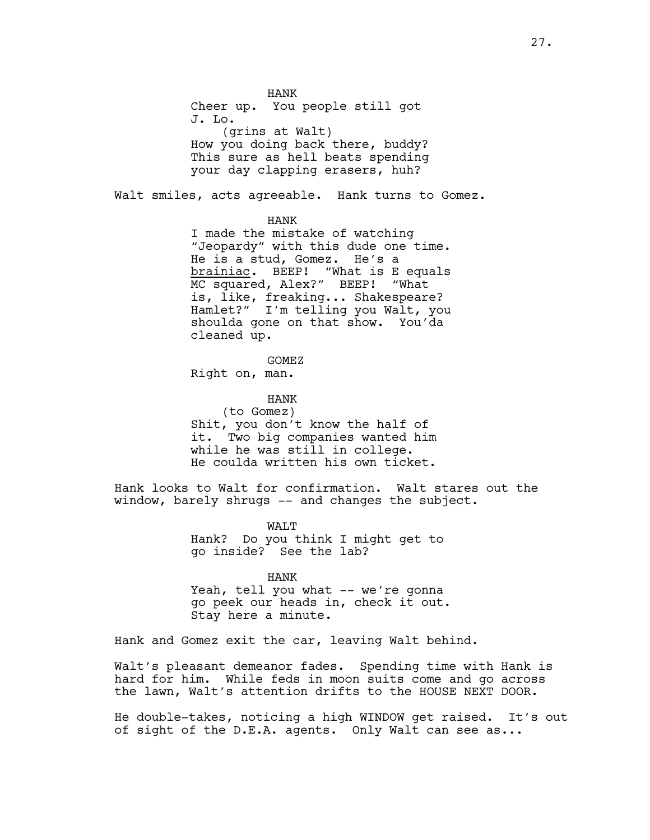HANK Cheer up. You people still got J. Lo. (grins at Walt) How you doing back there, buddy? This sure as hell beats spending your day clapping erasers, huh?

Walt smiles, acts agreeable. Hank turns to Gomez.

HANK

I made the mistake of watching "Jeopardy" with this dude one time. He is a stud, Gomez. He's a brainiac. BEEP! "What is E equals MC squared, Alex?" BEEP! "What is, like, freaking... Shakespeare? Hamlet?" I'm telling you Walt, you shoulda gone on that show. You'da cleaned up.

GOMEZ

Right on, man.

HANK

(to Gomez) Shit, you don't know the half of it. Two big companies wanted him while he was still in college. He coulda written his own ticket.

Hank looks to Walt for confirmation. Walt stares out the window, barely shrugs -- and changes the subject.

> WALT Hank? Do you think I might get to go inside? See the lab?

HANK Yeah, tell you what -- we're gonna go peek our heads in, check it out. Stay here a minute.

Hank and Gomez exit the car, leaving Walt behind.

Walt's pleasant demeanor fades. Spending time with Hank is hard for him. While feds in moon suits come and go across the lawn, Walt's attention drifts to the HOUSE NEXT DOOR.

He double-takes, noticing a high WINDOW get raised. It's out of sight of the D.E.A. agents. Only Walt can see as...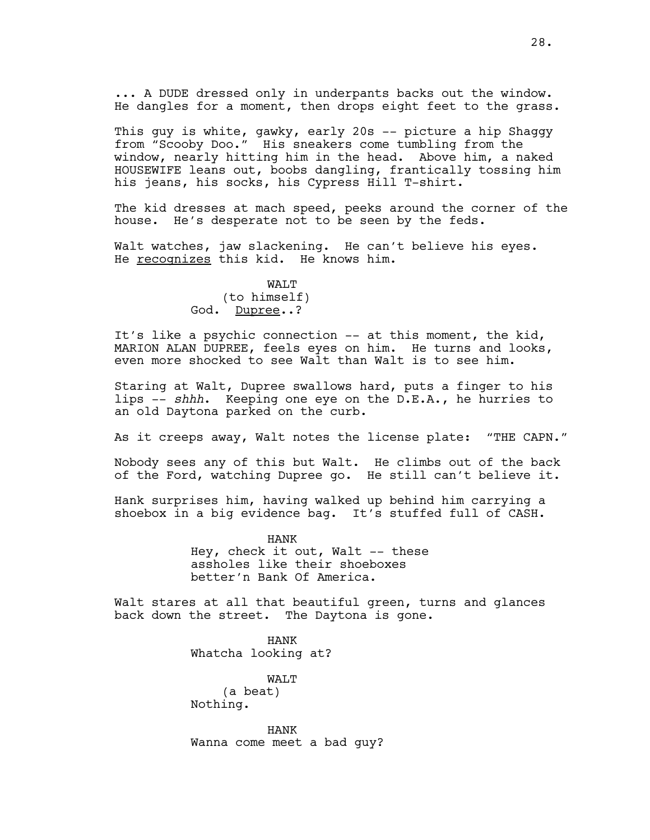... A DUDE dressed only in underpants backs out the window. He dangles for a moment, then drops eight feet to the grass.

This guy is white, gawky, early 20s -- picture a hip Shaggy from "Scooby Doo." His sneakers come tumbling from the window, nearly hitting him in the head. Above him, a naked HOUSEWIFE leans out, boobs dangling, frantically tossing him his jeans, his socks, his Cypress Hill T-shirt.

The kid dresses at mach speed, peeks around the corner of the house. He's desperate not to be seen by the feds.

Walt watches, jaw slackening. He can't believe his eyes. He recognizes this kid. He knows him.

## WAT.T (to himself) God. Dupree..?

It's like a psychic connection -- at this moment, the kid, MARION ALAN DUPREE, feels eyes on him. He turns and looks, even more shocked to see Walt than Walt is to see him.

Staring at Walt, Dupree swallows hard, puts a finger to his lips -- *shhh*. Keeping one eye on the D.E.A., he hurries to an old Daytona parked on the curb.

As it creeps away, Walt notes the license plate: "THE CAPN."

Nobody sees any of this but Walt. He climbs out of the back of the Ford, watching Dupree go. He still can't believe it.

Hank surprises him, having walked up behind him carrying a shoebox in a big evidence bag. It's stuffed full of CASH.

> HANK Hey, check it out, Walt  $-$  these assholes like their shoeboxes better'n Bank Of America.

Walt stares at all that beautiful green, turns and glances back down the street. The Daytona is gone.

> HANK Whatcha looking at?

WALT (a beat) Nothing.

HANK Wanna come meet a bad guy?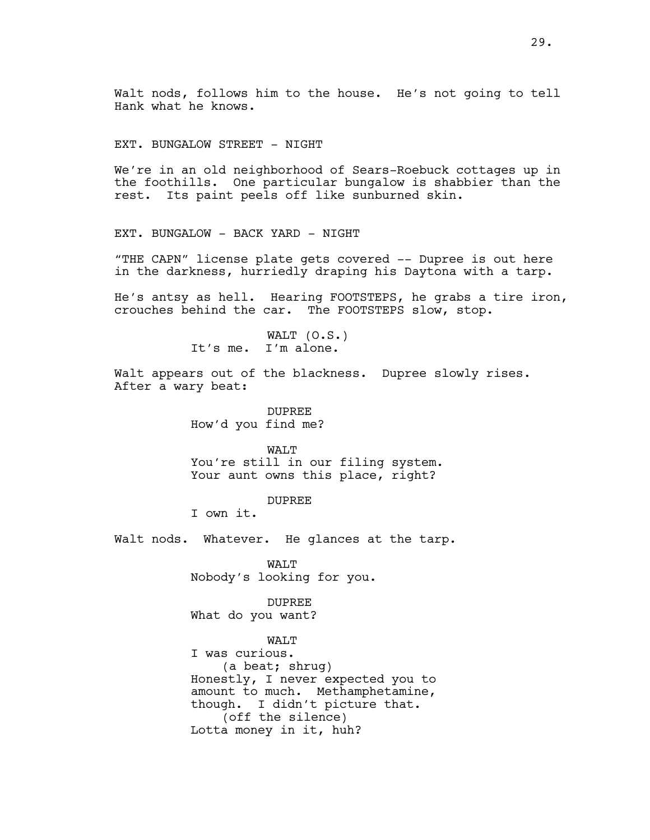Walt nods, follows him to the house. He's not going to tell Hank what he knows.

EXT. BUNGALOW STREET - NIGHT

We're in an old neighborhood of Sears-Roebuck cottages up in the foothills. One particular bungalow is shabbier than the rest. Its paint peels off like sunburned skin.

EXT. BUNGALOW - BACK YARD - NIGHT

"THE CAPN" license plate gets covered -- Dupree is out here in the darkness, hurriedly draping his Daytona with a tarp.

He's antsy as hell. Hearing FOOTSTEPS, he grabs a tire iron, crouches behind the car. The FOOTSTEPS slow, stop.

> WALT (O.S.) It's me. I'm alone.

Walt appears out of the blackness. Dupree slowly rises. After a wary beat:

> DUPREE How'd you find me?

WALT You're still in our filing system. Your aunt owns this place, right?

DUPREE

I own it.

Walt nods. Whatever. He glances at the tarp.

WAT.T Nobody's looking for you.

## DUPREE

What do you want?

## WALT

I was curious. (a beat; shrug) Honestly, I never expected you to amount to much. Methamphetamine, though. I didn't picture that. (off the silence) Lotta money in it, huh?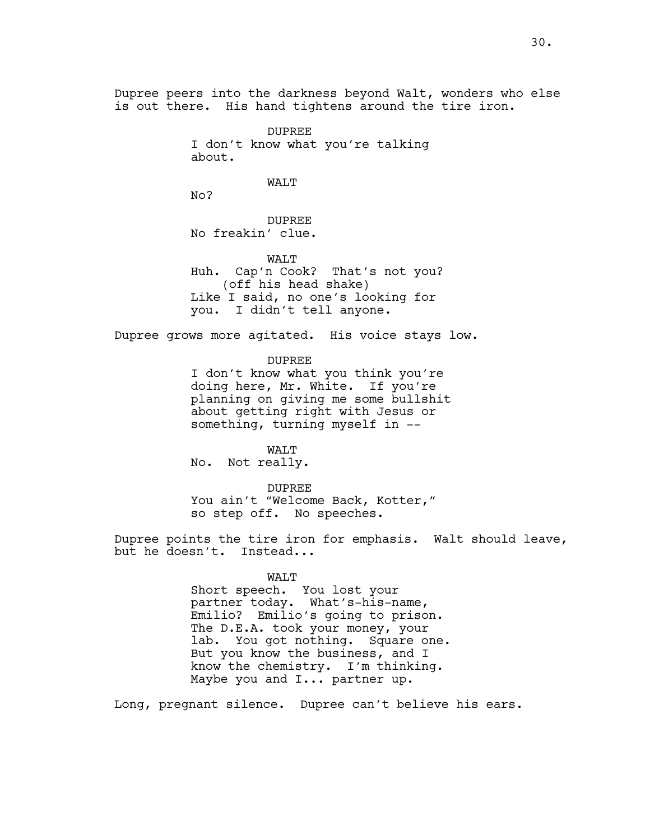Dupree peers into the darkness beyond Walt, wonders who else is out there. His hand tightens around the tire iron.

> DUPREE I don't know what you're talking about.

> > WALT

No?

DUPREE No freakin' clue.

WALT Huh. Cap'n Cook? That's not you? (off his head shake) Like I said, no one's looking for you. I didn't tell anyone.

Dupree grows more agitated. His voice stays low.

DUPREE

I don't know what you think you're doing here, Mr. White. If you're planning on giving me some bullshit about getting right with Jesus or something, turning myself in --

WALT No. Not really.

DUPREE You ain't "Welcome Back, Kotter," so step off. No speeches.

Dupree points the tire iron for emphasis. Walt should leave, but he doesn't. Instead...

### WALT

Short speech. You lost your partner today. What's-his-name, Emilio? Emilio's going to prison. The D.E.A. took your money, your lab. You got nothing. Square one. But you know the business, and I know the chemistry. I'm thinking. Maybe you and I... partner up.

Long, pregnant silence. Dupree can't believe his ears.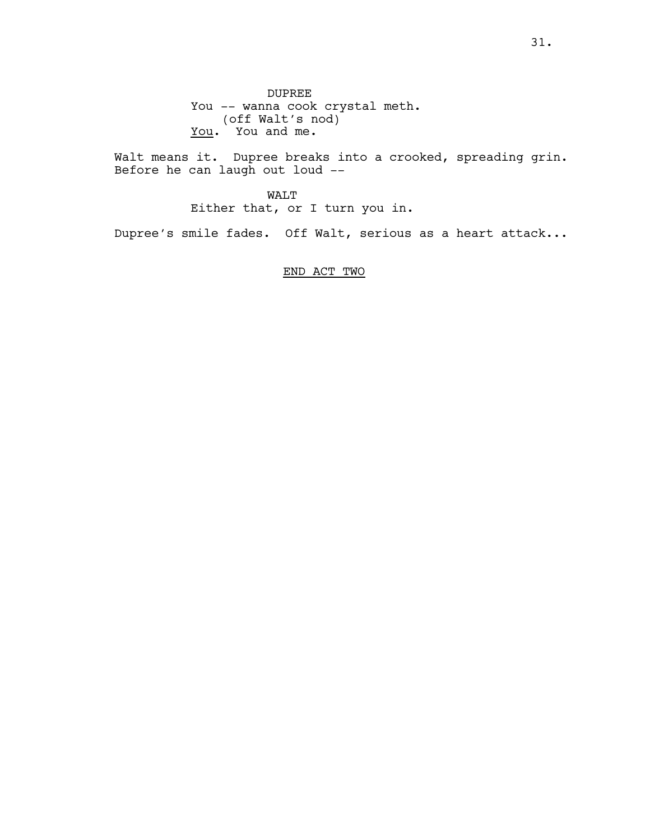DUPREE You -- wanna cook crystal meth. (off Walt's nod) You and me.

Walt means it. Dupree breaks into a crooked, spreading grin. Before he can laugh out loud --

WALT Either that, or I turn you in.

Dupree's smile fades. Off Walt, serious as a heart attack...

END ACT TWO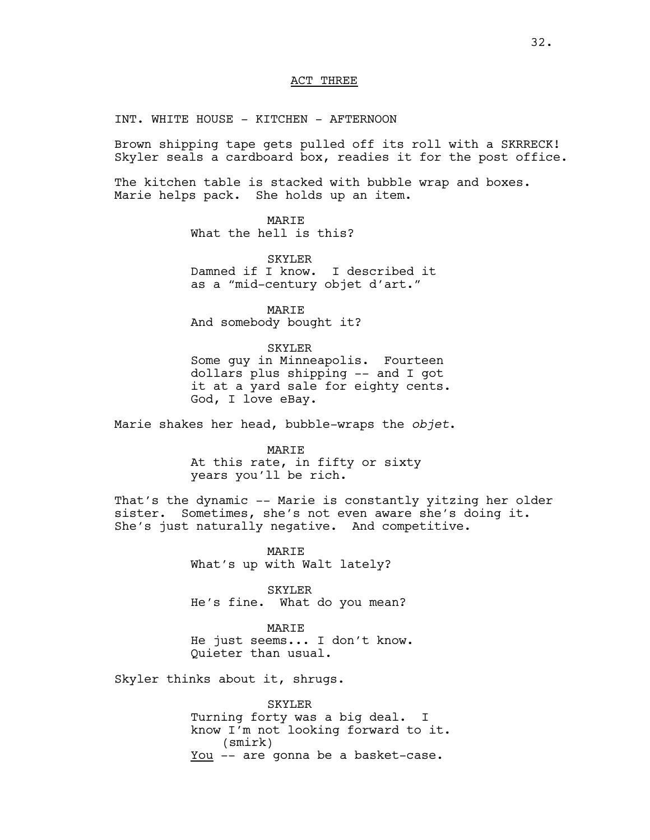### ACT THREE

INT. WHITE HOUSE - KITCHEN - AFTERNOON

Brown shipping tape gets pulled off its roll with a SKRRECK! Skyler seals a cardboard box, readies it for the post office.

The kitchen table is stacked with bubble wrap and boxes. Marie helps pack. She holds up an item.

> MARIE What the hell is this?

SKYLER Damned if I know. I described it as a "mid-century objet d'art."

MARIE And somebody bought it?

SKYLER Some guy in Minneapolis. Fourteen dollars plus shipping -- and I got it at a yard sale for eighty cents. God, I love eBay.

Marie shakes her head, bubble-wraps the *objet*.

MARIE At this rate, in fifty or sixty years you'll be rich.

That's the dynamic -- Marie is constantly yitzing her older sister. Sometimes, she's not even aware she's doing it. She's just naturally negative. And competitive.

> MARIE What's up with Walt lately?

SKYLER He's fine. What do you mean?

**MARTE** He just seems... I don't know. Quieter than usual.

Skyler thinks about it, shrugs.

SKYLER Turning forty was a big deal. I know I'm not looking forward to it. (smirk) You -- are gonna be a basket-case.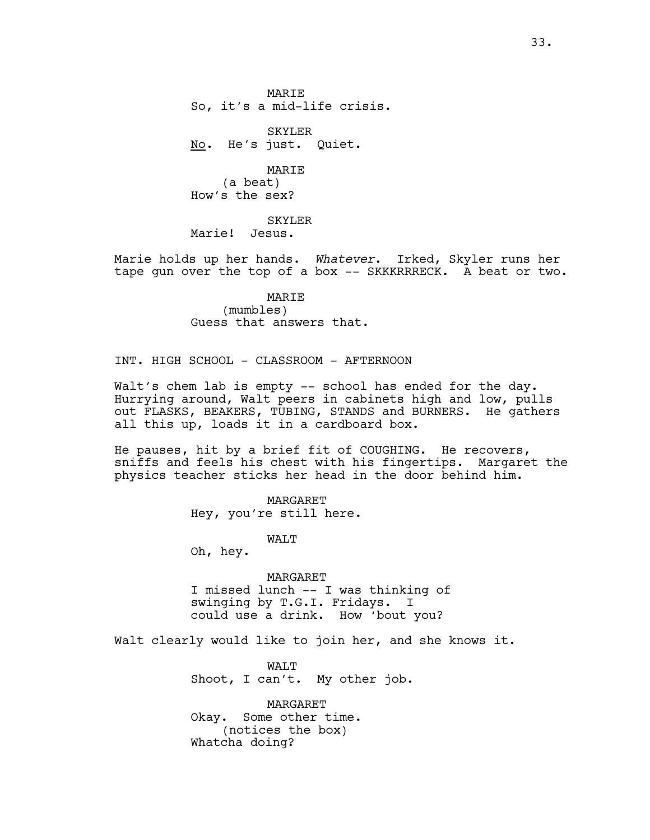**MARTE** So, it's a mid-life crisis.

SKYLER No. He's just. Quiet.

MARIE (a beat) How's the sex?

SKYLER Marie! Jesus.

Marie holds up her hands. *Whatever*. Irked, Skyler runs her tape gun over the top of a box -- SKKKRRRECK. A beat or two.

> MARIE (mumbles) Guess that answers that.

INT. HIGH SCHOOL - CLASSROOM - AFTERNOON

Walt's chem lab is empty -- school has ended for the day. Hurrying around, Walt peers in cabinets high and low, pulls out FLASKS, BEAKERS, TUBING, STANDS and BURNERS. He gathers all this up, loads it in a cardboard box.

He pauses, hit by a brief fit of COUGHING. He recovers, sniffs and feels his chest with his fingertips. Margaret the physics teacher sticks her head in the door behind him.

> MARGARET Hey, you're still here.

> > WALT

Oh, hey.

MARGARET I missed lunch -- I was thinking of swinging by T.G.I. Fridays. I could use a drink. How 'bout you?

Walt clearly would like to join her, and she knows it.

WALT Shoot, I can't. My other job.

MARGARET Okay. Some other time. (notices the box) Whatcha doing?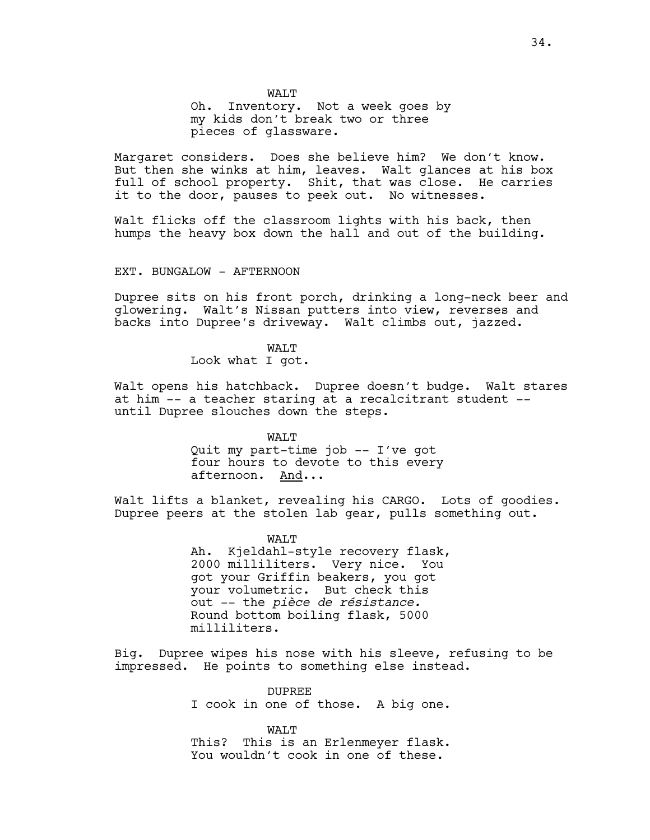WAT.T Oh. Inventory. Not a week goes by my kids don't break two or three pieces of glassware.

Margaret considers. Does she believe him? We don't know. But then she winks at him, leaves. Walt glances at his box full of school property. Shit, that was close. He carries it to the door, pauses to peek out. No witnesses.

Walt flicks off the classroom lights with his back, then humps the heavy box down the hall and out of the building.

### EXT. BUNGALOW - AFTERNOON

Dupree sits on his front porch, drinking a long-neck beer and glowering. Walt's Nissan putters into view, reverses and backs into Dupree's driveway. Walt climbs out, jazzed.

> WAT.T Look what I got.

Walt opens his hatchback. Dupree doesn't budge. Walt stares at him -- a teacher staring at a recalcitrant student - until Dupree slouches down the steps.

> WALT Quit my part-time job -- I've got four hours to devote to this every afternoon. And...

Walt lifts a blanket, revealing his CARGO. Lots of goodies. Dupree peers at the stolen lab gear, pulls something out.

> WALT Ah. Kjeldahl-style recovery flask, 2000 milliliters. Very nice. You got your Griffin beakers, you got your volumetric. But check this out -- the *pièce de résistance.* Round bottom boiling flask, 5000 milliliters.

Big. Dupree wipes his nose with his sleeve, refusing to be impressed. He points to something else instead.

> DUPREE I cook in one of those. A big one.

> WALT This? This is an Erlenmeyer flask. You wouldn't cook in one of these.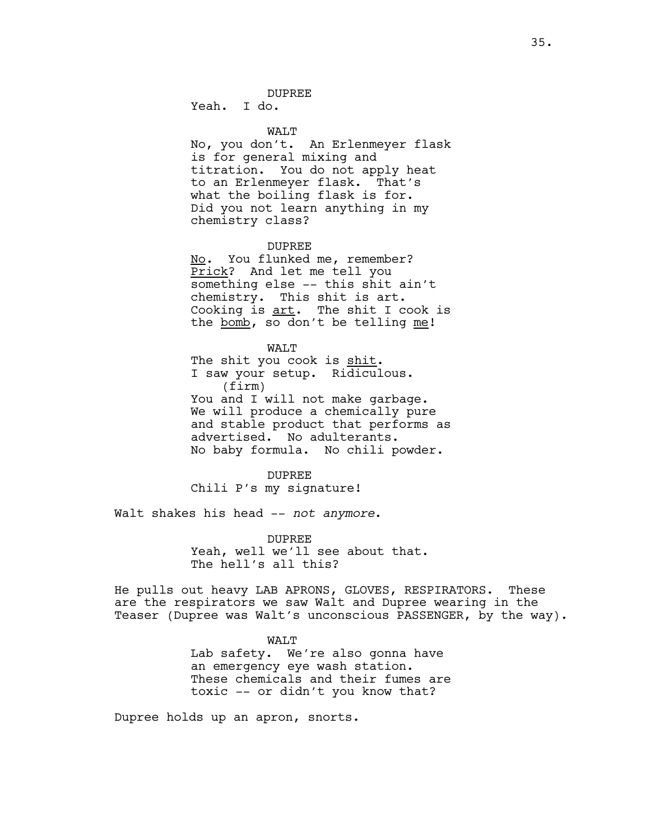## DUPREE

Yeah. I do.

#### WALT

No, you don't. An Erlenmeyer flask is for general mixing and titration. You do not apply heat to an Erlenmeyer flask. That's what the boiling flask is for. Did you not learn anything in my chemistry class?

#### DUPREE

No. You flunked me, remember? Prick? And let me tell you something else -- this shit ain't chemistry. This shit is art. Cooking is art. The shit I cook is the bomb, so don't be telling me!

#### WALT

The shit you cook is shit. I saw your setup. Ridiculous. (firm) You and I will not make garbage. We will produce a chemically pure and stable product that performs as advertised. No adulterants. No baby formula. No chili powder.

#### DUPREE

Chili P's my signature!

Walt shakes his head -- *not anymore*.

DUPREE Yeah, well we'll see about that. The hell's all this?

He pulls out heavy LAB APRONS, GLOVES, RESPIRATORS. These are the respirators we saw Walt and Dupree wearing in the Teaser (Dupree was Walt's unconscious PASSENGER, by the way).

## WALT Lab safety. We're also gonna have an emergency eye wash station. These chemicals and their fumes are toxic -- or didn't you know that?

Dupree holds up an apron, snorts.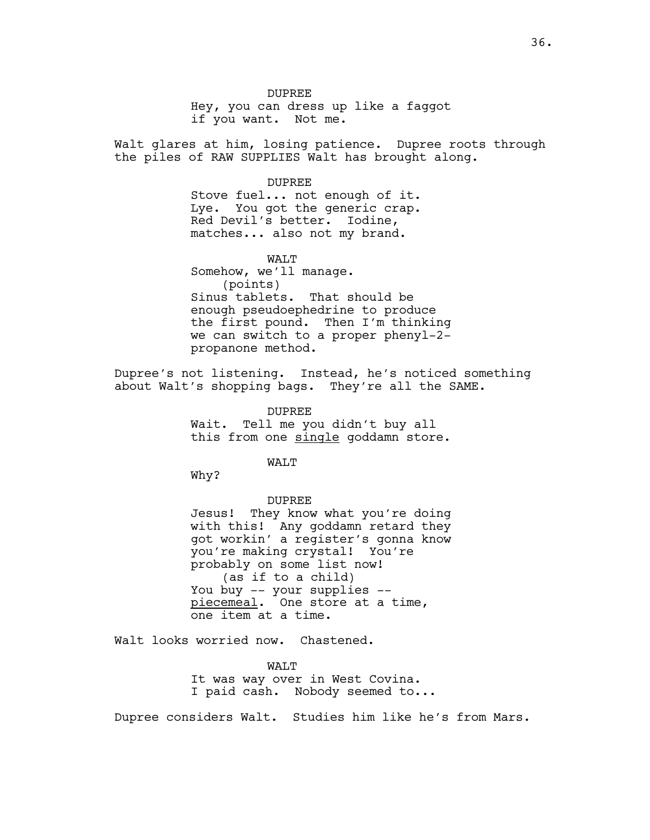DUPREE

Hey, you can dress up like a faggot if you want. Not me.

Walt glares at him, losing patience. Dupree roots through the piles of RAW SUPPLIES Walt has brought along.

DUPREE

Stove fuel... not enough of it. Lye. You got the generic crap. Red Devil's better. Iodine, matches... also not my brand.

WALT Somehow, we'll manage. (points) Sinus tablets. That should be enough pseudoephedrine to produce the first pound. Then I'm thinking we can switch to a proper phenyl-2 propanone method.

Dupree's not listening. Instead, he's noticed something about Walt's shopping bags. They're all the SAME.

> DUPREE Wait. Tell me you didn't buy all this from one single goddamn store.

> > WALT

Why?

DUPREE Jesus! They know what you're doing with this! Any goddamn retard they got workin' a register's gonna know you're making crystal! You're probably on some list now! (as if to a child) You buy -- your supplies - piecemeal. One store at a time, one item at a time.

Walt looks worried now. Chastened.

WALT It was way over in West Covina. I paid cash. Nobody seemed to...

Dupree considers Walt. Studies him like he's from Mars.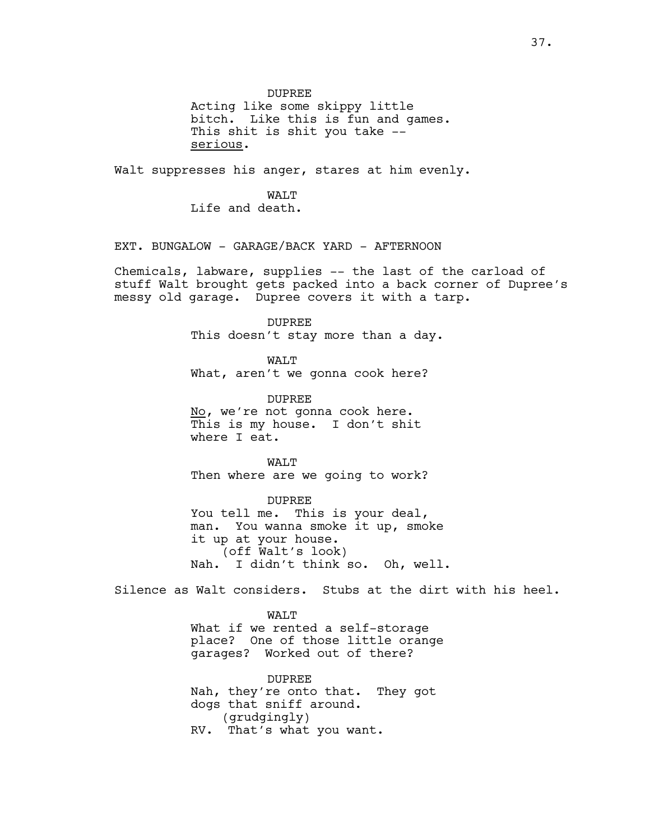DUPREE

Acting like some skippy little bitch. Like this is fun and games. This shit is shit you take - serious.

Walt suppresses his anger, stares at him evenly.

WAT.T Life and death.

EXT. BUNGALOW - GARAGE/BACK YARD - AFTERNOON

Chemicals, labware, supplies -- the last of the carload of stuff Walt brought gets packed into a back corner of Dupree's messy old garage. Dupree covers it with a tarp.

> DUPREE This doesn't stay more than a day.

WALT What, aren't we gonna cook here?

DUPREE No, we're not gonna cook here. This is my house. I don't shit where I eat.

WALT Then where are we going to work?

DUPREE You tell me. This is your deal, man. You wanna smoke it up, smoke it up at your house. (off Walt's look) Nah. I didn't think so. Oh, well.

Silence as Walt considers. Stubs at the dirt with his heel.

WALT What if we rented a self-storage place? One of those little orange garages? Worked out of there?

DUPREE Nah, they're onto that. They got dogs that sniff around. (grudgingly) RV. That's what you want.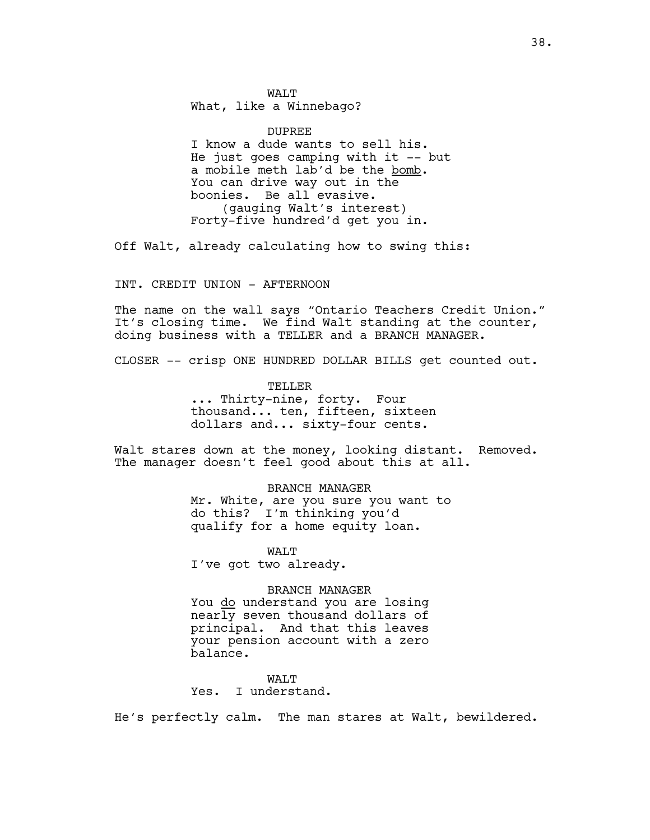WAT.T What, like a Winnebago?

DUPREE I know a dude wants to sell his. He just goes camping with it -- but a mobile meth lab'd be the bomb. You can drive way out in the boonies. Be all evasive. (gauging Walt's interest) Forty-five hundred'd get you in.

Off Walt, already calculating how to swing this:

INT. CREDIT UNION - AFTERNOON

The name on the wall says "Ontario Teachers Credit Union." It's closing time. We find Walt standing at the counter, doing business with a TELLER and a BRANCH MANAGER.

CLOSER -- crisp ONE HUNDRED DOLLAR BILLS get counted out.

TELLER

... Thirty-nine, forty. Four thousand... ten, fifteen, sixteen dollars and... sixty-four cents.

Walt stares down at the money, looking distant. Removed. The manager doesn't feel good about this at all.

BRANCH MANAGER

Mr. White, are you sure you want to do this? I'm thinking you'd qualify for a home equity loan.

WALT I've got two already.

### BRANCH MANAGER

You do understand you are losing nearly seven thousand dollars of principal. And that this leaves your pension account with a zero balance.

WAT.T

Yes. I understand.

He's perfectly calm. The man stares at Walt, bewildered.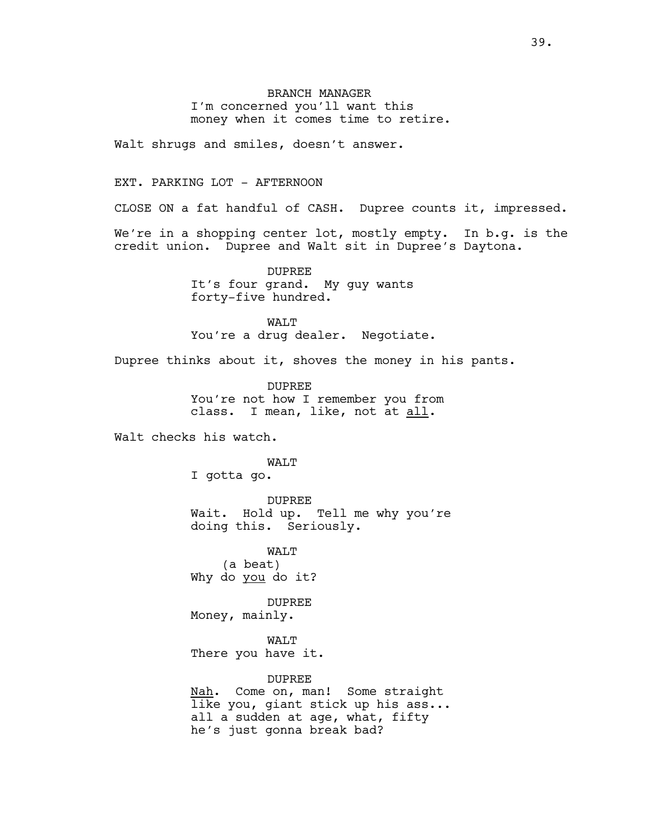BRANCH MANAGER I'm concerned you'll want this money when it comes time to retire.

Walt shrugs and smiles, doesn't answer.

## EXT. PARKING LOT - AFTERNOON

CLOSE ON a fat handful of CASH. Dupree counts it, impressed.

We're in a shopping center lot, mostly empty. In b.g. is the credit union. Dupree and Walt sit in Dupree's Daytona.

> DUPREE It's four grand. My guy wants forty-five hundred.

WALT You're a drug dealer. Negotiate.

Dupree thinks about it, shoves the money in his pants.

DUPREE You're not how I remember you from class. I mean, like, not at all.

Walt checks his watch.

## WALT

I gotta go.

DUPREE Wait. Hold up. Tell me why you're doing this. Seriously.

WAT.T (a beat) Why do you do it?

DUPREE Money, mainly.

WALT There you have it.

## DUPREE

Nah. Come on, man! Some straight like you, giant stick up his ass... all a sudden at age, what, fifty he's just gonna break bad?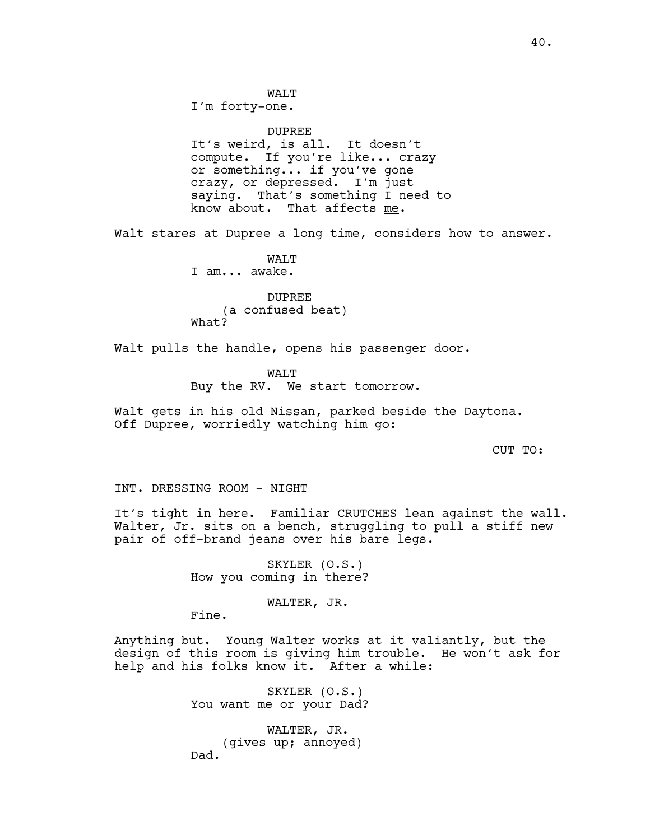WALT

I'm forty-one.

DUPREE It's weird, is all. It doesn't compute. If you're like... crazy or something... if you've gone crazy, or depressed. I'm just saying. That's something I need to know about. That affects me.

Walt stares at Dupree a long time, considers how to answer.

WALT I am... awake.

DUPREE (a confused beat) What?

Walt pulls the handle, opens his passenger door.

WAT.T Buy the RV. We start tomorrow.

Walt gets in his old Nissan, parked beside the Daytona. Off Dupree, worriedly watching him go:

CUT TO:

INT. DRESSING ROOM - NIGHT

It's tight in here. Familiar CRUTCHES lean against the wall. Walter, Jr. sits on a bench, struggling to pull a stiff new pair of off-brand jeans over his bare legs.

> SKYLER (O.S.) How you coming in there?

> > WALTER, JR.

Fine.

Anything but. Young Walter works at it valiantly, but the design of this room is giving him trouble. He won't ask for help and his folks know it. After a while:

> SKYLER (O.S.) You want me or your Dad?

WALTER, JR. (gives up; annoyed) Dad.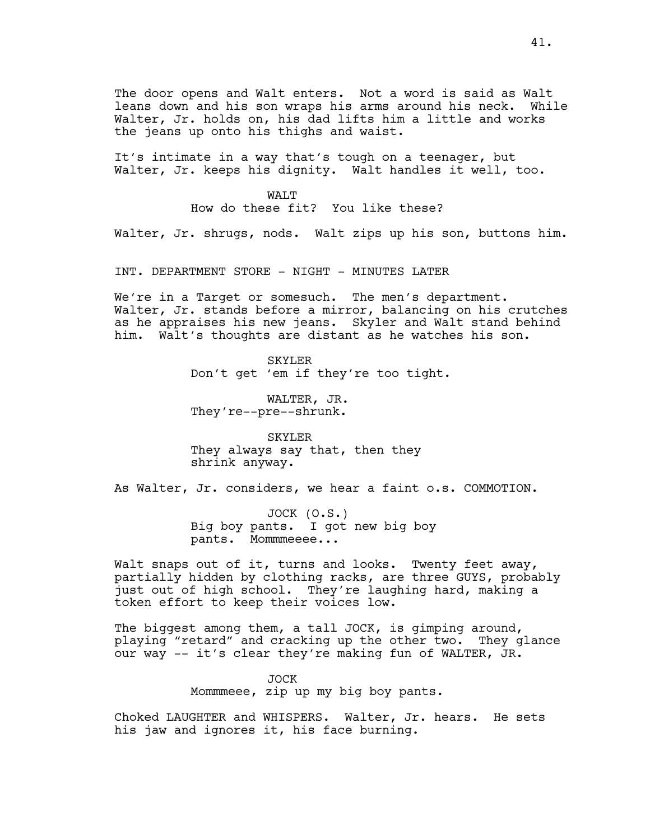The door opens and Walt enters. Not a word is said as Walt leans down and his son wraps his arms around his neck. While Walter, Jr. holds on, his dad lifts him a little and works the jeans up onto his thighs and waist.

It's intimate in a way that's tough on a teenager, but Walter, Jr. keeps his dignity. Walt handles it well, too.

> WAT.T How do these fit? You like these?

Walter, Jr. shrugs, nods. Walt zips up his son, buttons him.

INT. DEPARTMENT STORE - NIGHT - MINUTES LATER

We're in a Target or somesuch. The men's department. Walter, Jr. stands before a mirror, balancing on his crutches as he appraises his new jeans. Skyler and Walt stand behind him. Walt's thoughts are distant as he watches his son.

> SKYLER Don't get 'em if they're too tight.

WALTER, JR. They're--pre--shrunk.

SKYLER They always say that, then they shrink anyway.

As Walter, Jr. considers, we hear a faint o.s. COMMOTION.

JOCK (O.S.) Big boy pants. I got new big boy pants. Mommmeeee...

Walt snaps out of it, turns and looks. Twenty feet away, partially hidden by clothing racks, are three GUYS, probably just out of high school. They're laughing hard, making a token effort to keep their voices low.

The biggest among them, a tall JOCK, is gimping around, playing "retard" and cracking up the other two. They glance our way -- it's clear they're making fun of WALTER, JR.

> JOCK Mommmeee, zip up my big boy pants.

Choked LAUGHTER and WHISPERS. Walter, Jr. hears. He sets his jaw and ignores it, his face burning.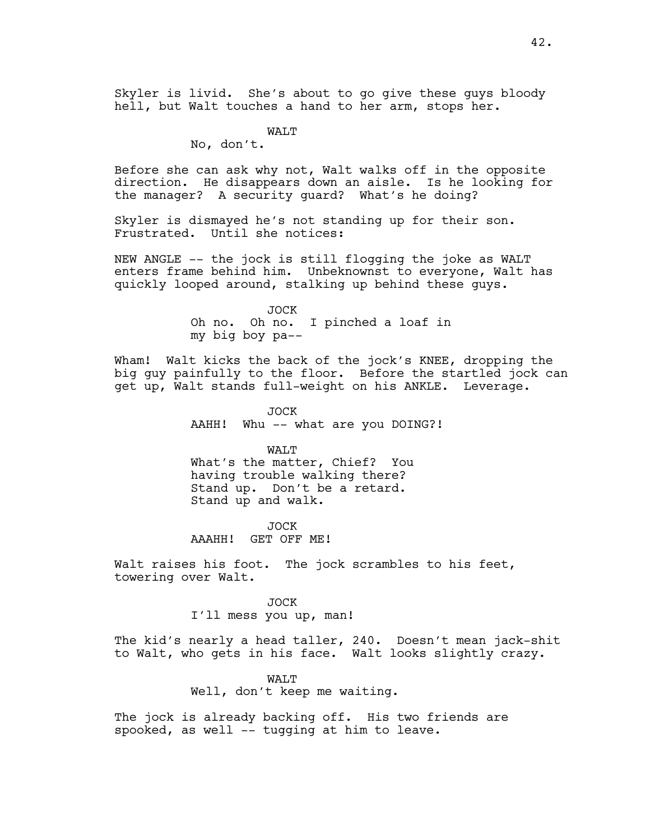Skyler is livid. She's about to go give these guys bloody hell, but Walt touches a hand to her arm, stops her.

WALT

No, don't.

Before she can ask why not, Walt walks off in the opposite direction. He disappears down an aisle. Is he looking for the manager? A security guard? What's he doing?

Skyler is dismayed he's not standing up for their son. Frustrated. Until she notices:

NEW ANGLE -- the jock is still flogging the joke as WALT enters frame behind him. Unbeknownst to everyone, Walt has quickly looped around, stalking up behind these guys.

> JOCK Oh no. Oh no. I pinched a loaf in my big boy pa--

Wham! Walt kicks the back of the jock's KNEE, dropping the big guy painfully to the floor. Before the startled jock can get up, Walt stands full-weight on his ANKLE. Leverage.

> JOCK AAHH! Whu -- what are you DOING?!

> > WALT

What's the matter, Chief? You having trouble walking there? Stand up. Don't be a retard. Stand up and walk.

JOCK AAAHH! GET OFF ME!

Walt raises his foot. The jock scrambles to his feet, towering over Walt.

> JOCK I'll mess you up, man!

The kid's nearly a head taller, 240. Doesn't mean jack-shit to Walt, who gets in his face. Walt looks slightly crazy.

> WALT Well, don't keep me waiting.

The jock is already backing off. His two friends are spooked, as well -- tugging at him to leave.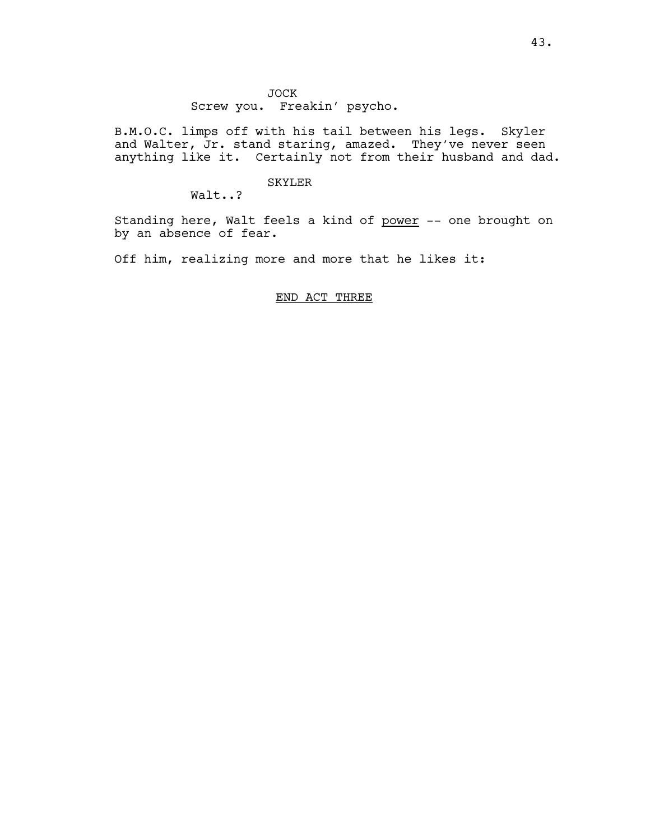B.M.O.C. limps off with his tail between his legs. Skyler and Walter, Jr. stand staring, amazed. They've never seen anything like it. Certainly not from their husband and dad.

## SKYLER

Walt..?

Standing here, Walt feels a kind of power -- one brought on by an absence of fear.

Off him, realizing more and more that he likes it:

## END ACT THREE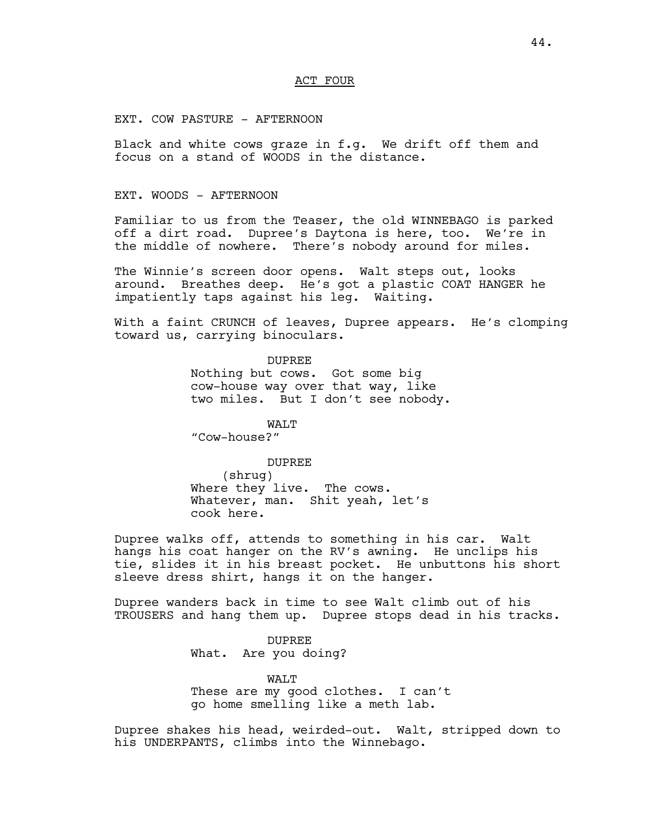### ACT FOUR

EXT. COW PASTURE - AFTERNOON

Black and white cows graze in f.g. We drift off them and focus on a stand of WOODS in the distance.

## EXT. WOODS - AFTERNOON

Familiar to us from the Teaser, the old WINNEBAGO is parked off a dirt road. Dupree's Daytona is here, too. We're in the middle of nowhere. There's nobody around for miles.

The Winnie's screen door opens. Walt steps out, looks around. Breathes deep. He's got a plastic COAT HANGER he impatiently taps against his leg. Waiting.

With a faint CRUNCH of leaves, Dupree appears. He's clomping toward us, carrying binoculars.

> DUPREE Nothing but cows. Got some big cow-house way over that way, like two miles. But I don't see nobody.

WALT "Cow-house?"

DUPREE (shrug) Where they live. The cows. Whatever, man. Shit yeah, let's cook here.

Dupree walks off, attends to something in his car. Walt hangs his coat hanger on the RV's awning. He unclips his tie, slides it in his breast pocket. He unbuttons his short sleeve dress shirt, hangs it on the hanger.

Dupree wanders back in time to see Walt climb out of his TROUSERS and hang them up. Dupree stops dead in his tracks.

> DUPREE What. Are you doing?

WALT These are my good clothes. I can't go home smelling like a meth lab.

Dupree shakes his head, weirded-out. Walt, stripped down to his UNDERPANTS, climbs into the Winnebago.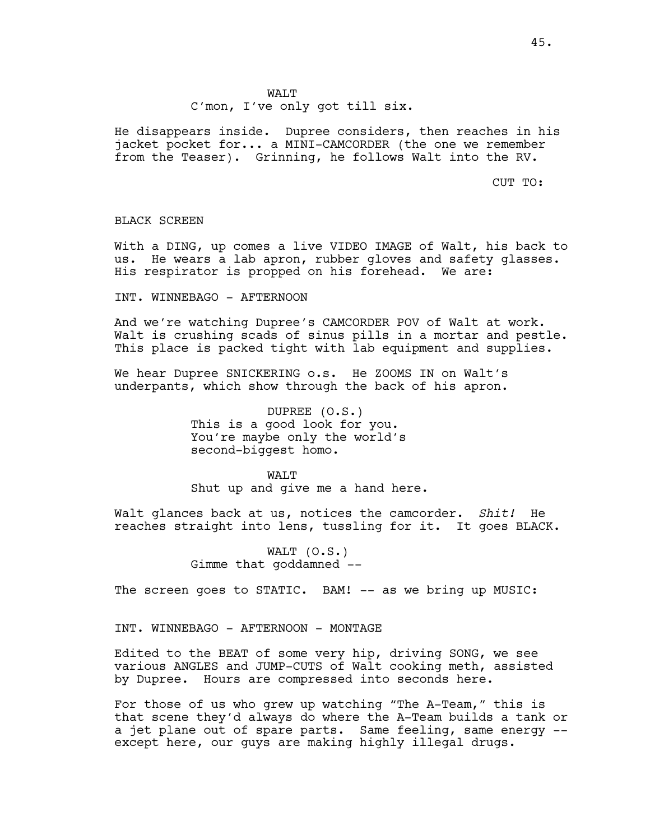C'mon, I've only got till six.

He disappears inside. Dupree considers, then reaches in his jacket pocket for... a MINI-CAMCORDER (the one we remember from the Teaser). Grinning, he follows Walt into the RV.

CUT TO:

#### BLACK SCREEN

With a DING, up comes a live VIDEO IMAGE of Walt, his back to us. He wears a lab apron, rubber gloves and safety glasses. His respirator is propped on his forehead. We are:

INT. WINNEBAGO - AFTERNOON

And we're watching Dupree's CAMCORDER POV of Walt at work. Walt is crushing scads of sinus pills in a mortar and pestle. This place is packed tight with lab equipment and supplies.

We hear Dupree SNICKERING o.s. He ZOOMS IN on Walt's underpants, which show through the back of his apron.

> DUPREE (O.S.) This is a good look for you. You're maybe only the world's second-biggest homo.

WAT.T Shut up and give me a hand here.

Walt glances back at us, notices the camcorder. *Shit!* He reaches straight into lens, tussling for it. It goes BLACK.

> WALT (O.S.) Gimme that goddamned --

The screen goes to STATIC. BAM! -- as we bring up MUSIC:

INT. WINNEBAGO - AFTERNOON - MONTAGE

Edited to the BEAT of some very hip, driving SONG, we see various ANGLES and JUMP-CUTS of Walt cooking meth, assisted by Dupree. Hours are compressed into seconds here.

For those of us who grew up watching "The A-Team," this is that scene they'd always do where the A-Team builds a tank or a jet plane out of spare parts. Same feeling, same energy - except here, our guys are making highly illegal drugs.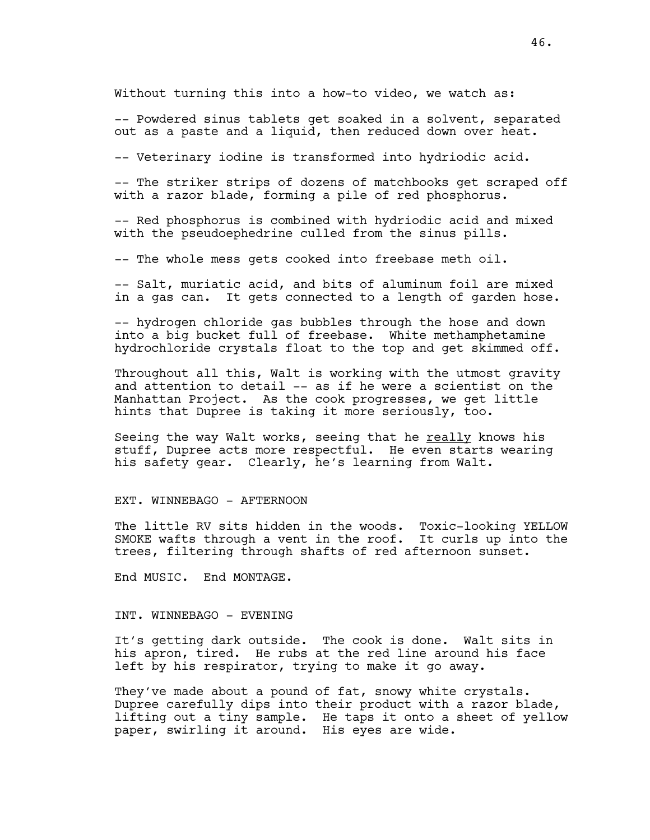Without turning this into a how-to video, we watch as:

-- Powdered sinus tablets get soaked in a solvent, separated out as a paste and a liquid, then reduced down over heat.

-- Veterinary iodine is transformed into hydriodic acid.

-- The striker strips of dozens of matchbooks get scraped off with a razor blade, forming a pile of red phosphorus.

-- Red phosphorus is combined with hydriodic acid and mixed with the pseudoephedrine culled from the sinus pills.

-- The whole mess gets cooked into freebase meth oil.

-- Salt, muriatic acid, and bits of aluminum foil are mixed in a gas can. It gets connected to a length of garden hose.

-- hydrogen chloride gas bubbles through the hose and down into a big bucket full of freebase. White methamphetamine hydrochloride crystals float to the top and get skimmed off.

Throughout all this, Walt is working with the utmost gravity and attention to detail -- as if he were a scientist on the Manhattan Project. As the cook progresses, we get little hints that Dupree is taking it more seriously, too.

Seeing the way Walt works, seeing that he really knows his stuff, Dupree acts more respectful. He even starts wearing his safety gear. Clearly, he's learning from Walt.

EXT. WINNEBAGO - AFTERNOON

The little RV sits hidden in the woods. Toxic-looking YELLOW SMOKE wafts through a vent in the roof. It curls up into the trees, filtering through shafts of red afternoon sunset.

End MUSIC. End MONTAGE.

## INT. WINNEBAGO - EVENING

It's getting dark outside. The cook is done. Walt sits in his apron, tired. He rubs at the red line around his face left by his respirator, trying to make it go away.

They've made about a pound of fat, snowy white crystals. Dupree carefully dips into their product with a razor blade, lifting out a tiny sample. He taps it onto a sheet of yellow paper, swirling it around. His eyes are wide.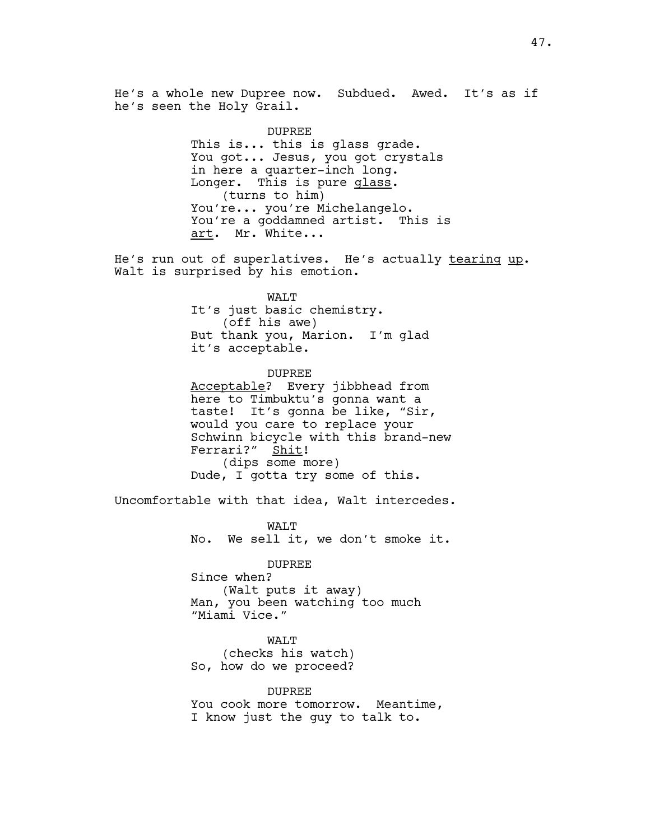He's a whole new Dupree now. Subdued. Awed. It's as if he's seen the Holy Grail.

> DUPREE This is... this is glass grade. You got... Jesus, you got crystals in here a quarter-inch long. Longer. This is pure glass. (turns to him) You're... you're Michelangelo. You're a goddamned artist. This is art. Mr. White...

He's run out of superlatives. He's actually tearing up. Walt is surprised by his emotion.

> WALT It's just basic chemistry. (off his awe) But thank you, Marion. I'm glad it's acceptable.

DUPREE Acceptable? Every jibbhead from here to Timbuktu's gonna want a taste! It's gonna be like, "Sir, would you care to replace your Schwinn bicycle with this brand-new Ferrari?" Shit! (dips some more) Dude, I gotta try some of this.

Uncomfortable with that idea, Walt intercedes.

WALT No. We sell it, we don't smoke it.

DUPREE

Since when? (Walt puts it away) Man, you been watching too much "Miami Vice."

WALT

(checks his watch) So, how do we proceed?

DUPREE You cook more tomorrow. Meantime, I know just the guy to talk to.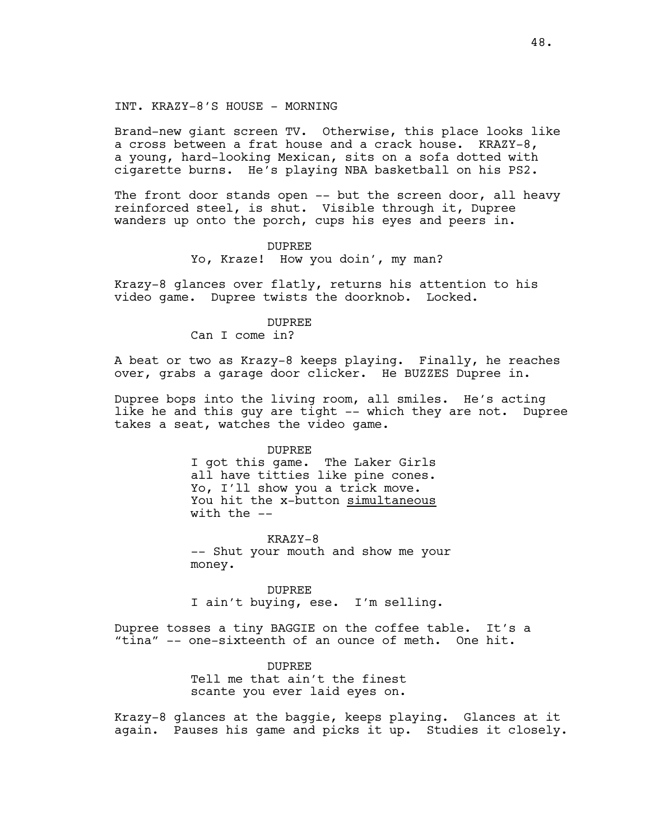INT. KRAZY-8'S HOUSE - MORNING

Brand-new giant screen TV. Otherwise, this place looks like a cross between a frat house and a crack house. KRAZY-8, a young, hard-looking Mexican, sits on a sofa dotted with cigarette burns. He's playing NBA basketball on his PS2.

The front door stands open -- but the screen door, all heavy reinforced steel, is shut. Visible through it, Dupree wanders up onto the porch, cups his eyes and peers in.

### DUPREE

Yo, Kraze! How you doin', my man?

Krazy-8 glances over flatly, returns his attention to his video game. Dupree twists the doorknob. Locked.

## DUPREE

Can I come in?

A beat or two as Krazy-8 keeps playing. Finally, he reaches over, grabs a garage door clicker. He BUZZES Dupree in.

Dupree bops into the living room, all smiles. He's acting like he and this guy are tight -- which they are not. Dupree takes a seat, watches the video game.

#### DUPREE

I got this game. The Laker Girls all have titties like pine cones. Yo, I'll show you a trick move. You hit the x-button simultaneous with the --

KRAZY-8 -- Shut your mouth and show me your money.

DUPREE I ain't buying, ese. I'm selling.

Dupree tosses a tiny BAGGIE on the coffee table. It's a "tina" -- one-sixteenth of an ounce of meth. One hit.

## DUPREE

Tell me that ain't the finest scante you ever laid eyes on.

Krazy-8 glances at the baggie, keeps playing. Glances at it again. Pauses his game and picks it up. Studies it closely.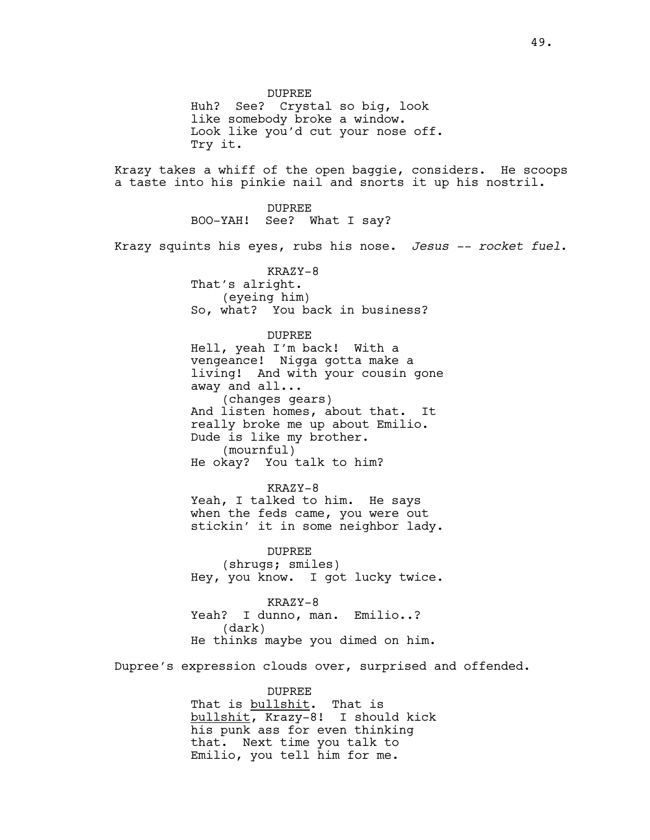DUPREE Huh? See? Crystal so big, look like somebody broke a window. Look like you'd cut your nose off. Try it. Krazy takes a whiff of the open baggie, considers. He scoops a taste into his pinkie nail and snorts it up his nostril. DUPREE BOO-YAH! See? What I say? Krazy squints his eyes, rubs his nose. *Jesus -- rocket fuel*. KRAZY-8 That's alright. (eyeing him) So, what? You back in business? DUPREE Hell, yeah I'm back! With a vengeance! Nigga gotta make a living! And with your cousin gone away and all... (changes gears) And listen homes, about that. It really broke me up about Emilio. Dude is like my brother. (mournful) He okay? You talk to him? KRAZY-8 Yeah, I talked to him. He says when the feds came, you were out stickin' it in some neighbor lady. DUPREE (shrugs; smiles) Hey, you know. I got lucky twice. KRAZY-8 Yeah? I dunno, man. Emilio..? (dark) He thinks maybe you dimed on him. Dupree's expression clouds over, surprised and offended.

> DUPREE That is <u>bullshit</u>. That is bullshit, Krazy-8! I should kick his punk ass for even thinking that. Next time you talk to Emilio, you tell him for me.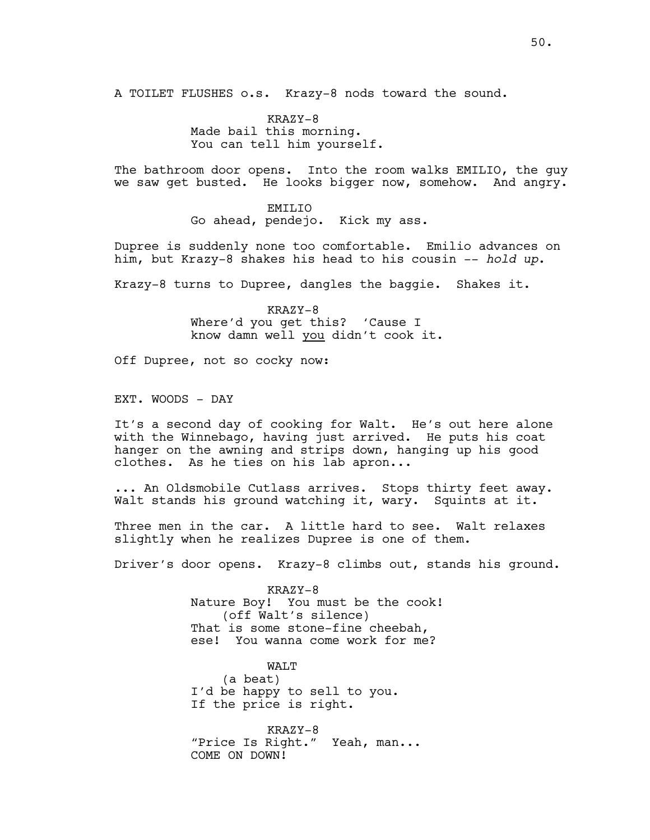A TOILET FLUSHES o.s. Krazy-8 nods toward the sound.

KRAZY-8 Made bail this morning. You can tell him yourself.

The bathroom door opens. Into the room walks EMILIO, the guy we saw get busted. He looks bigger now, somehow. And angry.

> EMTT<sub>J</sub>TO Go ahead, pendejo. Kick my ass.

Dupree is suddenly none too comfortable. Emilio advances on him, but Krazy-8 shakes his head to his cousin -- *hold up*.

Krazy-8 turns to Dupree, dangles the baggie. Shakes it.

KRAZY-8 Where'd you get this? 'Cause I know damn well you didn't cook it.

Off Dupree, not so cocky now:

EXT. WOODS - DAY

It's a second day of cooking for Walt. He's out here alone with the Winnebago, having just arrived. He puts his coat hanger on the awning and strips down, hanging up his good clothes. As he ties on his lab apron...

... An Oldsmobile Cutlass arrives. Stops thirty feet away. Walt stands his ground watching it, wary. Squints at it.

Three men in the car. A little hard to see. Walt relaxes slightly when he realizes Dupree is one of them.

Driver's door opens. Krazy-8 climbs out, stands his ground.

KRAZY-8 Nature Boy! You must be the cook! (off Walt's silence) That is some stone-fine cheebah, ese! You wanna come work for me?

WALT (a beat) I'd be happy to sell to you. If the price is right.

KRAZY-8 "Price Is Right." Yeah, man... COME ON DOWN!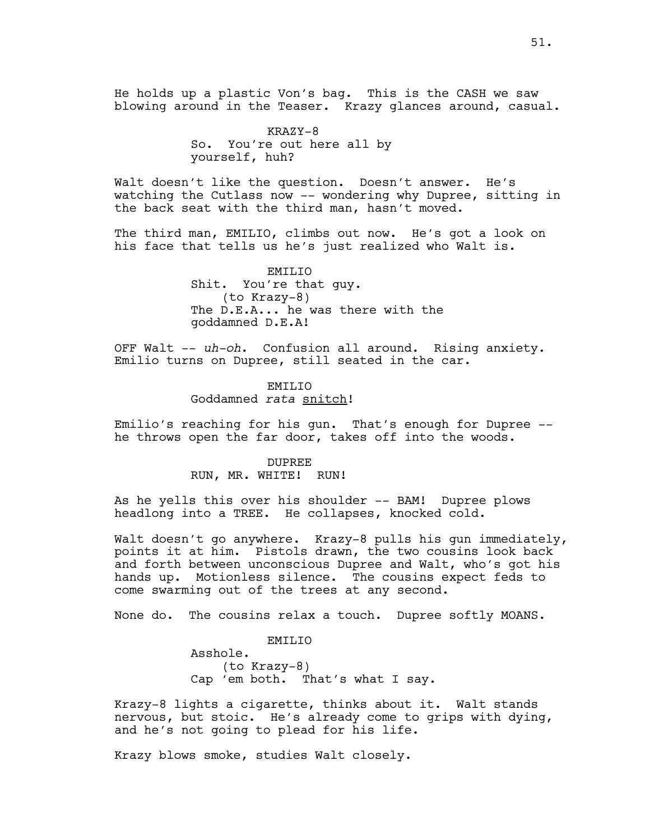He holds up a plastic Von's bag. This is the CASH we saw blowing around in the Teaser. Krazy glances around, casual.

> KRAZY-8 So. You're out here all by yourself, huh?

Walt doesn't like the question. Doesn't answer. He's watching the Cutlass now -- wondering why Dupree, sitting in the back seat with the third man, hasn't moved.

The third man, EMILIO, climbs out now. He's got a look on his face that tells us he's just realized who Walt is.

> EMILIO Shit. You're that guy. (to Krazy-8) The D.E.A... he was there with the goddamned D.E.A!

OFF Walt -- *uh-oh*. Confusion all around. Rising anxiety. Emilio turns on Dupree, still seated in the car.

> EMILIO Goddamned *rata* snitch!

Emilio's reaching for his gun. That's enough for Dupree - he throws open the far door, takes off into the woods.

> DUPREE RUN, MR. WHITE! RUN!

As he yells this over his shoulder -- BAM! Dupree plows headlong into a TREE. He collapses, knocked cold.

Walt doesn't go anywhere. Krazy-8 pulls his gun immediately, points it at him. Pistols drawn, the two cousins look back and forth between unconscious Dupree and Walt, who's got his hands up. Motionless silence. The cousins expect feds to come swarming out of the trees at any second.

None do. The cousins relax a touch. Dupree softly MOANS.

EMILIO Asshole. (to Krazy-8) Cap 'em both. That's what I say.

Krazy-8 lights a cigarette, thinks about it. Walt stands nervous, but stoic. He's already come to grips with dying, and he's not going to plead for his life.

Krazy blows smoke, studies Walt closely.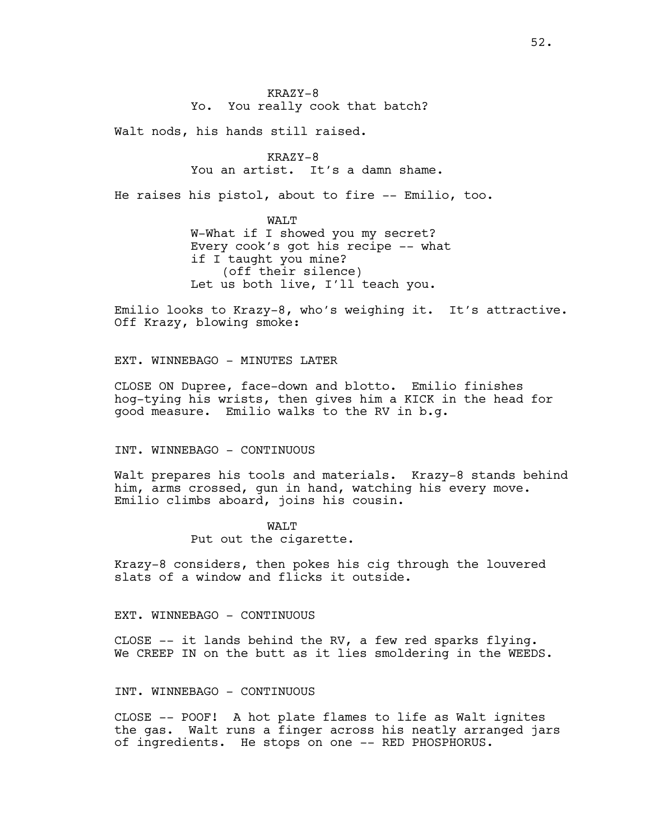KRAZY-8 Yo. You really cook that batch?

Walt nods, his hands still raised.

KRAZY-8 You an artist. It's a damn shame.

He raises his pistol, about to fire -- Emilio, too.

WALT W-What if I showed you my secret? Every cook's got his recipe -- what if I taught you mine? (off their silence) Let us both live, I'll teach you.

Emilio looks to Krazy-8, who's weighing it. It's attractive. Off Krazy, blowing smoke:

EXT. WINNEBAGO - MINUTES LATER

CLOSE ON Dupree, face-down and blotto. Emilio finishes hog-tying his wrists, then gives him a KICK in the head for good measure. Emilio walks to the RV in b.g.

## INT. WINNEBAGO - CONTINUOUS

Walt prepares his tools and materials. Krazy-8 stands behind him, arms crossed, gun in hand, watching his every move. Emilio climbs aboard, joins his cousin.

> WALT Put out the cigarette.

Krazy-8 considers, then pokes his cig through the louvered slats of a window and flicks it outside.

## EXT. WINNEBAGO - CONTINUOUS

CLOSE -- it lands behind the RV, a few red sparks flying. We CREEP IN on the butt as it lies smoldering in the WEEDS.

## INT. WINNEBAGO - CONTINUOUS

CLOSE -- POOF! A hot plate flames to life as Walt ignites the gas. Walt runs a finger across his neatly arranged jars of ingredients. He stops on one -- RED PHOSPHORUS.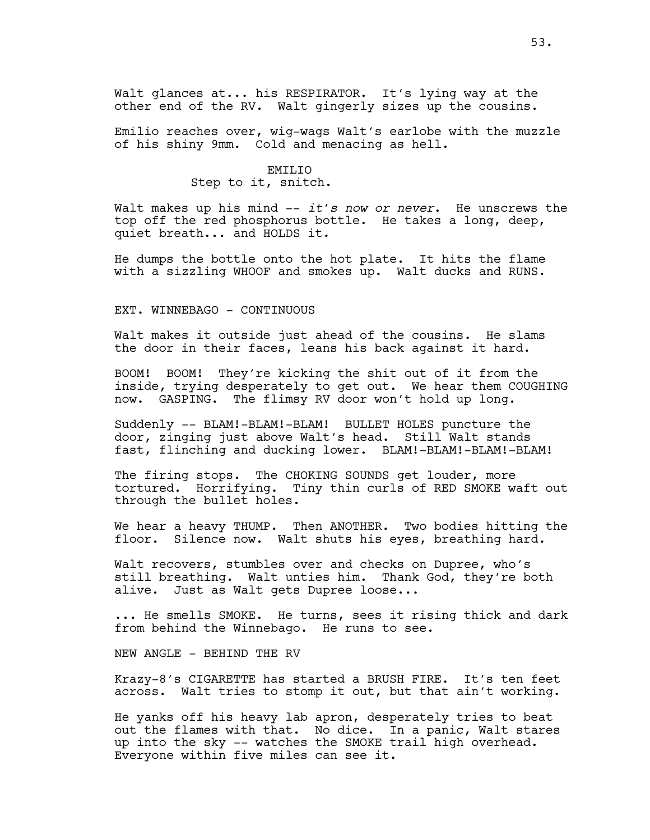Emilio reaches over, wig-wags Walt's earlobe with the muzzle of his shiny 9mm. Cold and menacing as hell.

# EMILIO

## Step to it, snitch.

Walt makes up his mind -- *it's now or never*. He unscrews the top off the red phosphorus bottle. He takes a long, deep, quiet breath... and HOLDS it.

He dumps the bottle onto the hot plate. It hits the flame with a sizzling WHOOF and smokes up. Walt ducks and RUNS.

## EXT. WINNEBAGO - CONTINUOUS

Walt makes it outside just ahead of the cousins. He slams the door in their faces, leans his back against it hard.

BOOM! BOOM! They're kicking the shit out of it from the inside, trying desperately to get out. We hear them COUGHING now. GASPING. The flimsy RV door won't hold up long.

Suddenly -- BLAM!-BLAM!-BLAM! BULLET HOLES puncture the door, zinging just above Walt's head. Still Walt stands fast, flinching and ducking lower. BLAM!-BLAM!-BLAM!-BLAM!

The firing stops. The CHOKING SOUNDS get louder, more<br>tortured. Horrifying. Tiny thin curls of RED SMOKE w Tiny thin curls of RED SMOKE waft out through the bullet holes.

We hear a heavy THUMP. Then ANOTHER. Two bodies hitting the floor. Silence now. Walt shuts his eyes, breathing hard.

Walt recovers, stumbles over and checks on Dupree, who's still breathing. Walt unties him. Thank God, they're both alive. Just as Walt gets Dupree loose...

... He smells SMOKE. He turns, sees it rising thick and dark from behind the Winnebago. He runs to see.

NEW ANGLE - BEHIND THE RV

Krazy-8's CIGARETTE has started a BRUSH FIRE. It's ten feet across. Walt tries to stomp it out, but that ain't working.

He yanks off his heavy lab apron, desperately tries to beat out the flames with that. No dice. In a panic, Walt stares up into the sky -- watches the SMOKE trail high overhead. Everyone within five miles can see it.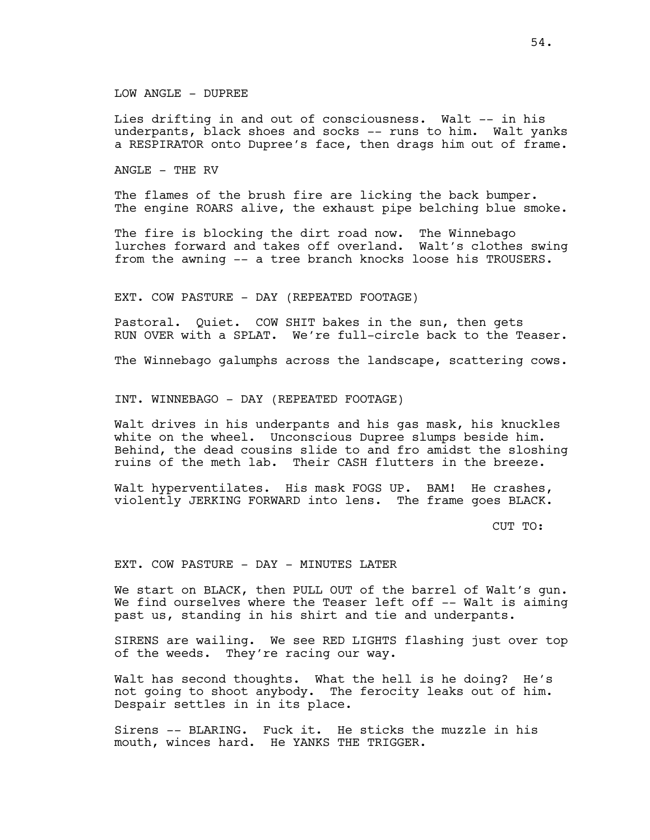## LOW ANGLE - DUPREE

Lies drifting in and out of consciousness. Walt -- in his underpants, black shoes and socks -- runs to him. Walt yanks a RESPIRATOR onto Dupree's face, then drags him out of frame.

ANGLE - THE RV

The flames of the brush fire are licking the back bumper. The engine ROARS alive, the exhaust pipe belching blue smoke.

The fire is blocking the dirt road now. The Winnebago lurches forward and takes off overland. Walt's clothes swing from the awning -- a tree branch knocks loose his TROUSERS.

EXT. COW PASTURE - DAY (REPEATED FOOTAGE)

Pastoral. Quiet. COW SHIT bakes in the sun, then gets RUN OVER with a SPLAT. We're full-circle back to the Teaser.

The Winnebago galumphs across the landscape, scattering cows.

INT. WINNEBAGO - DAY (REPEATED FOOTAGE)

Walt drives in his underpants and his gas mask, his knuckles white on the wheel. Unconscious Dupree slumps beside him. Behind, the dead cousins slide to and fro amidst the sloshing ruins of the meth lab. Their CASH flutters in the breeze.

Walt hyperventilates. His mask FOGS UP. BAM! He crashes, violently JERKING FORWARD into lens. The frame goes BLACK.

CUT TO:

EXT. COW PASTURE - DAY - MINUTES LATER

We start on BLACK, then PULL OUT of the barrel of Walt's gun. We find ourselves where the Teaser left off -- Walt is aiming past us, standing in his shirt and tie and underpants.

SIRENS are wailing. We see RED LIGHTS flashing just over top of the weeds. They're racing our way.

Walt has second thoughts. What the hell is he doing? He's not going to shoot anybody. The ferocity leaks out of him. Despair settles in in its place.

Sirens -- BLARING. Fuck it. He sticks the muzzle in his mouth, winces hard. He YANKS THE TRIGGER.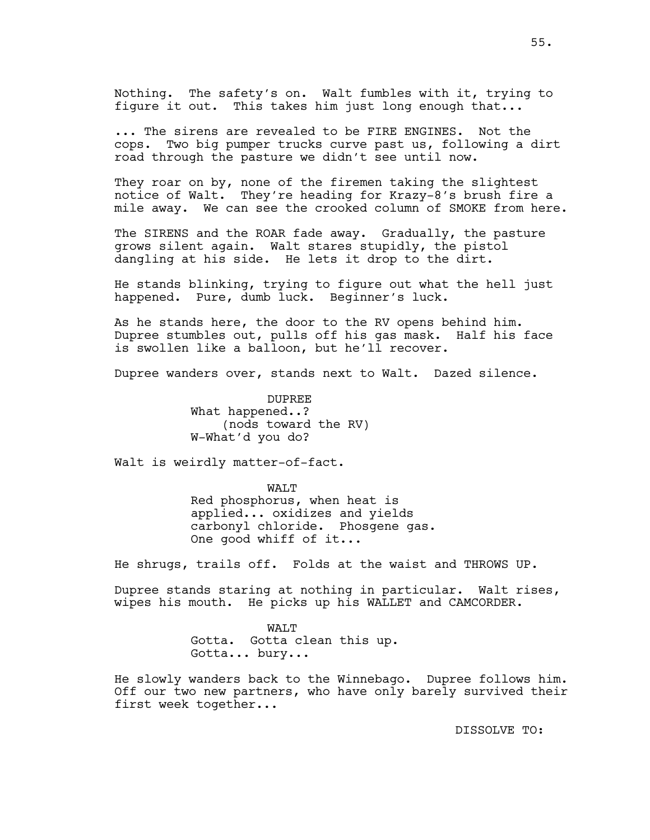Nothing. The safety's on. Walt fumbles with it, trying to figure it out. This takes him just long enough that...

... The sirens are revealed to be FIRE ENGINES. Not the cops. Two big pumper trucks curve past us, following a dirt road through the pasture we didn't see until now.

They roar on by, none of the firemen taking the slightest notice of Walt. They're heading for Krazy-8's brush fire a mile away. We can see the crooked column of SMOKE from here.

The SIRENS and the ROAR fade away. Gradually, the pasture grows silent again. Walt stares stupidly, the pistol dangling at his side. He lets it drop to the dirt.

He stands blinking, trying to figure out what the hell just happened. Pure, dumb luck. Beginner's luck.

As he stands here, the door to the RV opens behind him. Dupree stumbles out, pulls off his gas mask. Half his face is swollen like a balloon, but he'll recover.

Dupree wanders over, stands next to Walt. Dazed silence.

DUPREE What happened..? (nods toward the RV) W-What'd you do?

Walt is weirdly matter-of-fact.

WALT Red phosphorus, when heat is applied... oxidizes and yields carbonyl chloride. Phosgene gas. One good whiff of it...

He shrugs, trails off. Folds at the waist and THROWS UP.

Dupree stands staring at nothing in particular. Walt rises, wipes his mouth. He picks up his WALLET and CAMCORDER.

> WAT.T Gotta. Gotta clean this up. Gotta... bury...

He slowly wanders back to the Winnebago. Dupree follows him. Off our two new partners, who have only barely survived their first week together...

DISSOLVE TO: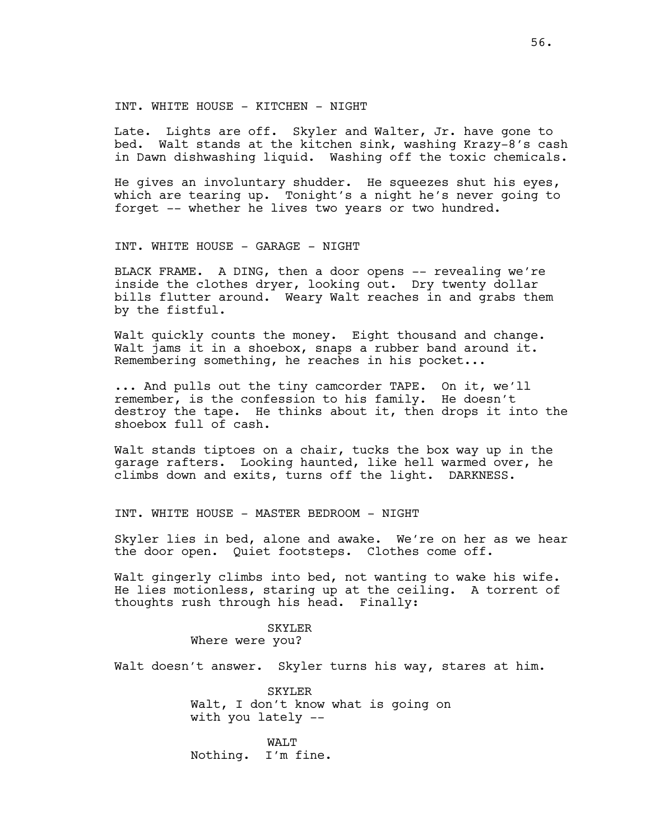INT. WHITE HOUSE - KITCHEN - NIGHT

Late. Lights are off. Skyler and Walter, Jr. have gone to bed. Walt stands at the kitchen sink, washing Krazy-8's cash in Dawn dishwashing liquid. Washing off the toxic chemicals.

He gives an involuntary shudder. He squeezes shut his eyes, which are tearing up. Tonight's a night he's never going to forget -- whether he lives two years or two hundred.

INT. WHITE HOUSE - GARAGE - NIGHT

BLACK FRAME. A DING, then a door opens -- revealing we're inside the clothes dryer, looking out. Dry twenty dollar bills flutter around. Weary Walt reaches in and grabs them by the fistful.

Walt quickly counts the money. Eight thousand and change. Walt jams it in a shoebox, snaps a rubber band around it. Remembering something, he reaches in his pocket...

... And pulls out the tiny camcorder TAPE. On it, we'll remember, is the confession to his family. He doesn't destroy the tape. He thinks about it, then drops it into the shoebox full of cash.

Walt stands tiptoes on a chair, tucks the box way up in the garage rafters. Looking haunted, like hell warmed over, he climbs down and exits, turns off the light. DARKNESS.

INT. WHITE HOUSE - MASTER BEDROOM - NIGHT

Skyler lies in bed, alone and awake. We're on her as we hear the door open. Quiet footsteps. Clothes come off.

Walt gingerly climbs into bed, not wanting to wake his wife. He lies motionless, staring up at the ceiling. A torrent of thoughts rush through his head. Finally:

> SKYLER Where were you?

Walt doesn't answer. Skyler turns his way, stares at him.

SKYLER Walt, I don't know what is going on with you lately --

WALT Nothing. I'm fine.